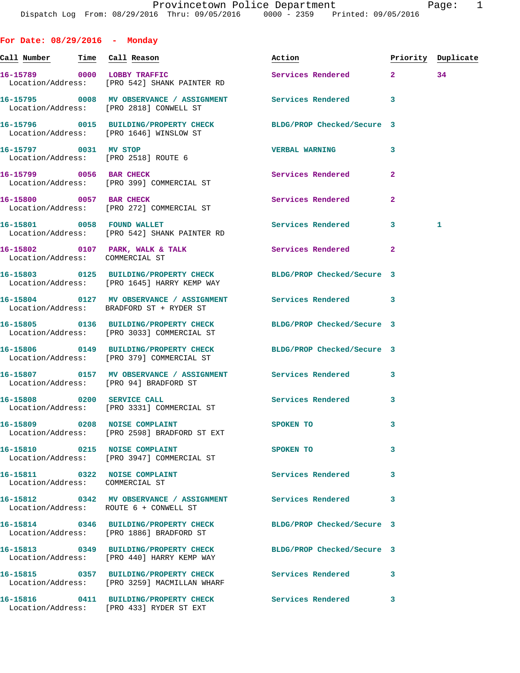**For Date: 08/29/2016 - Monday Call Number Time Call Reason Action Priority Duplicate 16-15789 0000 LOBBY TRAFFIC Services Rendered 2 34**  Location/Address: [PRO 542] SHANK PAINTER RD **16-15795 0008 MV OBSERVANCE / ASSIGNMENT Services Rendered 3**  Location/Address: [PRO 2818] CONWELL ST **16-15796 0015 BUILDING/PROPERTY CHECK BLDG/PROP Checked/Secure 3**  Location/Address: [PRO 1646] WINSLOW ST **16-15797 0031 MV STOP VERBAL WARNING 3**  Location/Address: [PRO 2518] ROUTE 6 **16-15799 0056 BAR CHECK Services Rendered 2**  Location/Address: [PRO 399] COMMERCIAL ST **16-15800 0057 BAR CHECK Services Rendered 2**  Location/Address: [PRO 272] COMMERCIAL ST **16-15801 0058 FOUND WALLET Services Rendered 3 1**  Location/Address: [PRO 542] SHANK PAINTER RD 16-15802 0107 PARK, WALK & TALK **Services Rendered** 2 Location/Address: COMMERCIAL ST **16-15803 0125 BUILDING/PROPERTY CHECK BLDG/PROP Checked/Secure 3**  Location/Address: [PRO 1645] HARRY KEMP WAY **16-15804 0127 MV OBSERVANCE / ASSIGNMENT Services Rendered 3**  Location/Address: BRADFORD ST + RYDER ST **16-15805 0136 BUILDING/PROPERTY CHECK BLDG/PROP Checked/Secure 3**  Location/Address: [PRO 3033] COMMERCIAL ST **16-15806 0149 BUILDING/PROPERTY CHECK BLDG/PROP Checked/Secure 3**  Location/Address: [PRO 379] COMMERCIAL ST **16-15807 0157 MV OBSERVANCE / ASSIGNMENT Services Rendered 3**  Location/Address: [PRO 94] BRADFORD ST 16-15808 0200 SERVICE CALL Services Rendered 3 Location/Address: [PRO 3331] COMMERCIAL ST **16-15809 0208 NOISE COMPLAINT SPOKEN TO 3**  Location/Address: [PRO 2598] BRADFORD ST EXT **16-15810 0215 NOISE COMPLAINT SPOKEN TO 3**  Location/Address: [PRO 3947] COMMERCIAL ST **16-15811 0322 NOISE COMPLAINT Services Rendered 3**  Location/Address: COMMERCIAL ST **16-15812 0342 MV OBSERVANCE / ASSIGNMENT Services Rendered 3**  Location/Address: ROUTE 6 + CONWELL ST **16-15814 0346 BUILDING/PROPERTY CHECK BLDG/PROP Checked/Secure 3**  Location/Address: [PRO 1886] BRADFORD ST **16-15813 0349 BUILDING/PROPERTY CHECK BLDG/PROP Checked/Secure 3**  Location/Address: [PRO 440] HARRY KEMP WAY

Location/Address: [PRO 3259] MACMILLAN WHARF

**16-15815 0357 BUILDING/PROPERTY CHECK Services Rendered 3** 

**16-15816 0411 BUILDING/PROPERTY CHECK Services Rendered 3**  Location/Address: [PRO 433] RYDER ST EXT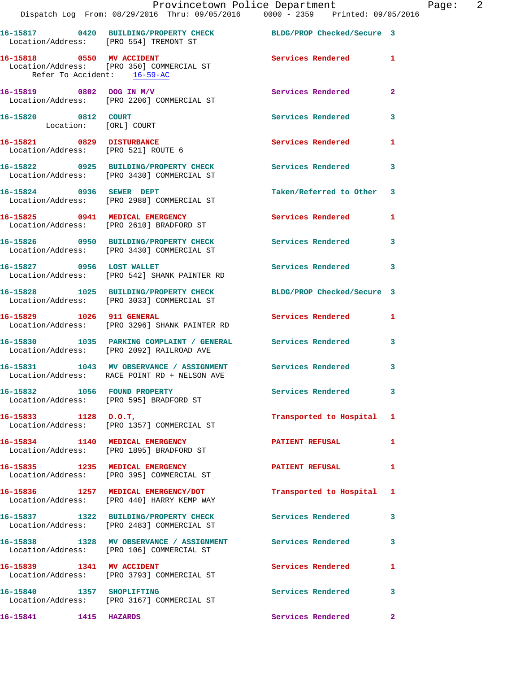|                                                                  | Dispatch Log From: 08/29/2016 Thru: 09/05/2016 0000 - 2359 Printed: 09/05/2016                                 | Provincetown Police Department | Page: 2        |
|------------------------------------------------------------------|----------------------------------------------------------------------------------------------------------------|--------------------------------|----------------|
|                                                                  | 16-15817 0420 BUILDING/PROPERTY CHECK BLDG/PROP Checked/Secure 3<br>Location/Address: [PRO 554] TREMONT ST     |                                |                |
|                                                                  | 16-15818 0550 MV ACCIDENT<br>Location/Address: [PRO 350] COMMERCIAL ST<br>Refer To Accident: 16-59-AC          | Services Rendered 1            |                |
|                                                                  | 16-15819 0802 DOG IN M/V<br>Location/Address: [PRO 2206] COMMERCIAL ST                                         | Services Rendered              | $\overline{2}$ |
| 16-15820 0812 COURT<br>Location: [ORL] COURT                     |                                                                                                                | Services Rendered 3            |                |
| 16-15821 0829 DISTURBANCE<br>Location/Address: [PRO 521] ROUTE 6 |                                                                                                                | Services Rendered 1            |                |
|                                                                  | 16-15822 0925 BUILDING/PROPERTY CHECK Services Rendered 3<br>Location/Address: [PRO 3430] COMMERCIAL ST        |                                |                |
|                                                                  | 16-15824 0936 SEWER DEPT<br>Location/Address: [PRO 2988] COMMERCIAL ST                                         | Taken/Referred to Other 3      |                |
|                                                                  | 16-15825 0941 MEDICAL EMERGENCY<br>Location/Address: [PRO 2610] BRADFORD ST                                    | Services Rendered 1            |                |
|                                                                  | 16-15826 0950 BUILDING/PROPERTY CHECK Services Rendered 3<br>Location/Address: [PRO 3430] COMMERCIAL ST        |                                |                |
|                                                                  |                                                                                                                | Services Rendered 3            |                |
|                                                                  | 16-15828 1025 BUILDING/PROPERTY CHECK BLDG/PROP Checked/Secure 3<br>Location/Address: [PRO 3033] COMMERCIAL ST |                                |                |
|                                                                  | 16-15829 1026 911 GENERAL<br>Location/Address: [PRO 3296] SHANK PAINTER RD                                     | Services Rendered 1            |                |
|                                                                  | 16-15830 1035 PARKING COMPLAINT / GENERAL Services Rendered<br>Location/Address: [PRO 2092] RAILROAD AVE       |                                | 3              |
|                                                                  | 16-15831 1043 MV OBSERVANCE / ASSIGNMENT Services Rendered 3<br>Location/Address: RACE POINT RD + NELSON AVE   |                                |                |
|                                                                  | 16-15832 1056 FOUND PROPERTY<br>Location/Address: [PRO 595] BRADFORD ST                                        | Services Rendered 3            |                |
|                                                                  | $16 - 15833$ 1128 $D.0.T$ ,<br>Location/Address: [PRO 1357] COMMERCIAL ST                                      | Transported to Hospital 1      |                |
|                                                                  | 16-15834 1140 MEDICAL EMERGENCY<br>Location/Address: [PRO 1895] BRADFORD ST                                    | PATIENT REFUSAL 1              |                |
|                                                                  | 16-15835 1235 MEDICAL EMERGENCY<br>Location/Address: [PRO 395] COMMERCIAL ST                                   | <b>PATIENT REFUSAL</b>         | 1              |
|                                                                  | 16-15836 1257 MEDICAL EMERGENCY/DOT<br>Location/Address: [PRO 440] HARRY KEMP WAY                              | Transported to Hospital 1      |                |
|                                                                  | 16-15837 1322 BUILDING/PROPERTY CHECK<br>Location/Address: [PRO 2483] COMMERCIAL ST                            | <b>Services Rendered</b>       | $\mathbf{3}$   |
|                                                                  | 16-15838 1328 MV OBSERVANCE / ASSIGNMENT Services Rendered<br>Location/Address: [PRO 106] COMMERCIAL ST        |                                | $\mathbf{3}$   |
|                                                                  | 16-15839 1341 MV ACCIDENT<br>Location/Address: [PRO 3793] COMMERCIAL ST                                        | Services Rendered              | $\mathbf{1}$   |
| 16-15840 1357 SHOPLIFTING                                        | Location/Address: [PRO 3167] COMMERCIAL ST                                                                     | Services Rendered              | 3              |
| 16-15841 1415 HAZARDS                                            |                                                                                                                | Services Rendered 2            |                |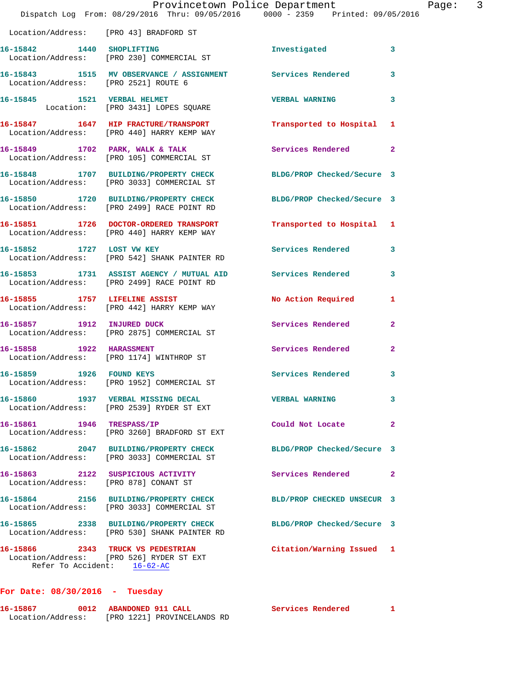|                                        | Dispatch Log From: 08/29/2016 Thru: 09/05/2016 0000 - 2359 Printed: 09/05/2016                                   | Provincetown Police Department | Page: $3$    |
|----------------------------------------|------------------------------------------------------------------------------------------------------------------|--------------------------------|--------------|
| Location/Address: [PRO 43] BRADFORD ST |                                                                                                                  |                                |              |
|                                        | 16-15842 1440 SHOPLIFTING<br>Location/Address: [PRO 230] COMMERCIAL ST                                           | Investigated 3                 |              |
|                                        | 16-15843 1515 MV OBSERVANCE / ASSIGNMENT Services Rendered<br>Location/Address: [PRO 2521] ROUTE 6               |                                | $\mathbf{3}$ |
|                                        | 16-15845 1521 VERBAL HELMET<br>Location: [PRO 3431] LOPES SQUARE                                                 | <b>VERBAL WARNING</b>          | 3            |
|                                        | 16-15847 1647 HIP FRACTURE/TRANSPORT Transported to Hospital 1<br>Location/Address: [PRO 440] HARRY KEMP WAY     |                                |              |
|                                        | 16-15849 1702 PARK, WALK & TALK<br>Location/Address: [PRO 105] COMMERCIAL ST                                     | Services Rendered              | $\mathbf{2}$ |
|                                        | 16-15848 1707 BUILDING/PROPERTY CHECK BLDG/PROP Checked/Secure 3<br>Location/Address: [PRO 3033] COMMERCIAL ST   |                                |              |
|                                        | 16-15850 1720 BUILDING/PROPERTY CHECK BLDG/PROP Checked/Secure 3<br>Location/Address: [PRO 2499] RACE POINT RD   |                                |              |
|                                        | 16-15851 1726 DOCTOR-ORDERED TRANSPORT Transported to Hospital 1<br>Location/Address: [PRO 440] HARRY KEMP WAY   |                                |              |
|                                        | 16-15852 1727 LOST VW KEY<br>Location/Address: [PRO 542] SHANK PAINTER RD                                        | Services Rendered              | 3            |
|                                        | 16-15853 1731 ASSIST AGENCY / MUTUAL AID Services Rendered 3<br>Location/Address: [PRO 2499] RACE POINT RD       |                                |              |
|                                        | 16-15855 1757 LIFELINE ASSIST<br>Location/Address: [PRO 442] HARRY KEMP WAY                                      | No Action Required             | 1            |
| 16-15857 1912 INJURED DUCK             | Location/Address: [PRO 2875] COMMERCIAL ST                                                                       | Services Rendered              | $\mathbf{2}$ |
|                                        | 16-15858 1922 HARASSMENT<br>Location/Address: [PRO 1174] WINTHROP ST                                             | <b>Services Rendered</b>       | $\mathbf{2}$ |
|                                        | 16-15859 1926 FOUND KEYS<br>Location/Address: [PRO 1952] COMMERCIAL ST                                           | <b>Services Rendered</b>       |              |
|                                        | 16-15860 1937 VERBAL MISSING DECAL<br>Location/Address: [PRO 2539] RYDER ST EXT                                  | <b>VERBAL WARNING</b>          | 3            |
| 16-15861 1946 TRESPASS/IP              | Location/Address: [PRO 3260] BRADFORD ST EXT                                                                     | Could Not Locate               | $\mathbf{2}$ |
|                                        | 16-15862 2047 BUILDING/PROPERTY CHECK<br>Location/Address: [PRO 3033] COMMERCIAL ST                              | BLDG/PROP Checked/Secure 3     |              |
|                                        | 16-15863 2122 SUSPICIOUS ACTIVITY<br>Location/Address: [PRO 878] CONANT ST                                       | Services Rendered              | $\mathbf{2}$ |
|                                        | 16-15864 2156 BUILDING/PROPERTY CHECK<br>Location/Address: [PRO 3033] COMMERCIAL ST                              | BLD/PROP CHECKED UNSECUR 3     |              |
|                                        | 16-15865 2338 BUILDING/PROPERTY CHECK BLDG/PROP Checked/Secure 3<br>Location/Address: [PRO 530] SHANK PAINTER RD |                                |              |
| Refer To Accident: 16-62-AC            | 16-15866 2343 TRUCK VS PEDESTRIAN<br>Location/Address: [PRO 526] RYDER ST EXT                                    | Citation/Warning Issued 1      |              |

## **For Date: 08/30/2016 - Tuesday**

| 16-15867          | 0012 ABANDONED 911 CALL |                             | Services Rendered |  |
|-------------------|-------------------------|-----------------------------|-------------------|--|
| Location/Address: |                         | [PRO 1221] PROVINCELANDS RD |                   |  |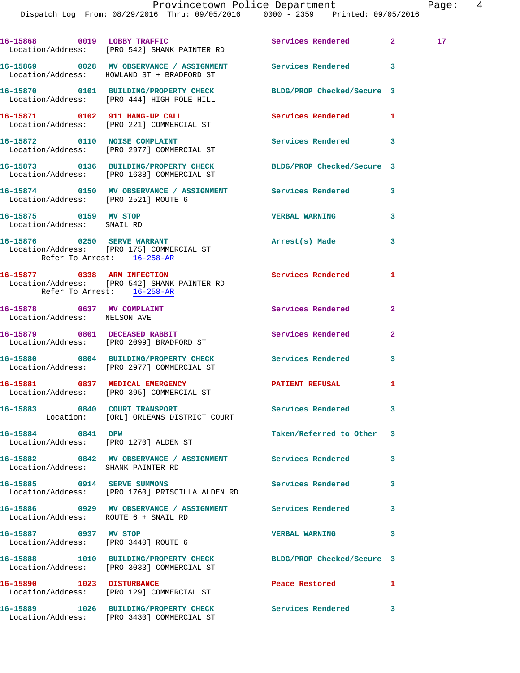|                                                            | 16-15868 0019 LOBBY TRAFFIC<br>Location/Address: [PRO 542] SHANK PAINTER RD                                    | Services Rendered 2         |              | $17 \,$ |
|------------------------------------------------------------|----------------------------------------------------------------------------------------------------------------|-----------------------------|--------------|---------|
|                                                            | 16-15869 0028 MV OBSERVANCE / ASSIGNMENT Services Rendered 3<br>Location/Address: HOWLAND ST + BRADFORD ST     |                             |              |         |
|                                                            | 16-15870 0101 BUILDING/PROPERTY CHECK<br>Location/Address: [PRO 444] HIGH POLE HILL                            | BLDG/PROP Checked/Secure 3  |              |         |
|                                                            | 16-15871 0102 911 HANG-UP CALL<br>Location/Address: [PRO 221] COMMERCIAL ST                                    | Services Rendered 1         |              |         |
|                                                            | 16-15872 0110 NOISE COMPLAINT<br>Location/Address: [PRO 2977] COMMERCIAL ST                                    | Services Rendered 3         |              |         |
|                                                            | 16-15873 0136 BUILDING/PROPERTY CHECK BLDG/PROP Checked/Secure 3<br>Location/Address: [PRO 1638] COMMERCIAL ST |                             |              |         |
| Location/Address: [PRO 2521] ROUTE 6                       | 16-15874 0150 MV OBSERVANCE / ASSIGNMENT Services Rendered                                                     |                             | 3            |         |
| 16-15875 0159 MV STOP<br>Location/Address: SNAIL RD        |                                                                                                                | <b>VERBAL WARNING</b>       | 3            |         |
| Refer To Arrest: 16-258-AR                                 | 16-15876 0250 SERVE WARRANT<br>Location/Address: [PRO 175] COMMERCIAL ST                                       | Arrest(s) Made              | 3            |         |
| Refer To Arrest: 16-258-AR                                 | 16-15877 0338 ARM INFECTION<br>Location/Address: [PRO 542] SHANK PAINTER RD                                    | Services Rendered           | $\mathbf{1}$ |         |
| 16-15878 0637 MV COMPLAINT<br>Location/Address: NELSON AVE |                                                                                                                | Services Rendered           | $\mathbf{2}$ |         |
|                                                            | 16-15879 0801 DECEASED RABBIT<br>Location/Address: [PRO 2099] BRADFORD ST                                      | Services Rendered           | $\mathbf{2}$ |         |
|                                                            | 16-15880 0804 BUILDING/PROPERTY CHECK Services Rendered<br>Location/Address: [PRO 2977] COMMERCIAL ST          |                             | 3            |         |
|                                                            | 16-15881 0837 MEDICAL EMERGENCY<br>Location/Address: [PRO 395] COMMERCIAL ST                                   | PATIENT REFUSAL             | 1            |         |
|                                                            | 16-15883 0840 COURT TRANSPORT<br>Location: [ORL] ORLEANS DISTRICT COURT                                        | Services Rendered           | 3            |         |
| 16-15884 0841 DPW                                          | Location/Address: [PRO 1270] ALDEN ST                                                                          | Taken/Referred to Other     | 3            |         |
| Location/Address: SHANK PAINTER RD                         | 16-15882 0842 MV OBSERVANCE / ASSIGNMENT Services Rendered                                                     |                             | 3            |         |
|                                                            | 16-15885 0914 SERVE SUMMONS<br>Location/Address: [PRO 1760] PRISCILLA ALDEN RD                                 | Services Rendered           | 3            |         |
| Location/Address: ROUTE 6 + SNAIL RD                       | 16-15886 0929 MV OBSERVANCE / ASSIGNMENT Services Rendered                                                     |                             | 3            |         |
| 16-15887 0937 MV STOP                                      | Location/Address: [PRO 3440] ROUTE 6                                                                           | <b>VERBAL WARNING</b>       | 3            |         |
|                                                            | 16-15888 1010 BUILDING/PROPERTY CHECK BLDG/PROP Checked/Secure 3<br>Location/Address: [PRO 3033] COMMERCIAL ST |                             |              |         |
| 16-15890 1023 DISTURBANCE                                  | Location/Address: [PRO 129] COMMERCIAL ST                                                                      | Peace Restored <b>Seaps</b> | 1            |         |
|                                                            | 16-15889 1026 BUILDING/PROPERTY CHECK Services Rendered 3                                                      |                             |              |         |

Location/Address: [PRO 3430] COMMERCIAL ST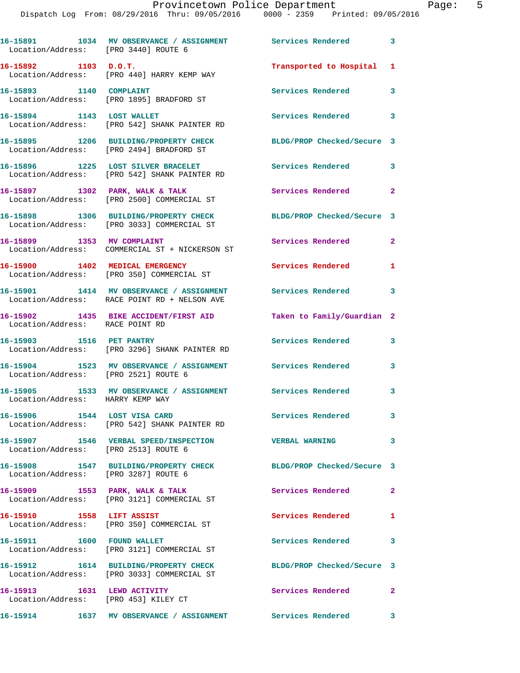| Location/Address: [PRO 3440] ROUTE 6                                | 16-15891 1034 MV OBSERVANCE / ASSIGNMENT Services Rendered                                      |                            | $\overline{\mathbf{3}}$ |
|---------------------------------------------------------------------|-------------------------------------------------------------------------------------------------|----------------------------|-------------------------|
| 16-15892 1103 D.O.T.                                                | Location/Address: [PRO 440] HARRY KEMP WAY                                                      | Transported to Hospital    | 1                       |
| 16-15893 1140 COMPLAINT                                             | Location/Address: [PRO 1895] BRADFORD ST                                                        | <b>Services Rendered</b>   | 3                       |
| 16-15894 1143 LOST WALLET                                           | Location/Address: [PRO 542] SHANK PAINTER RD                                                    | Services Rendered 3        |                         |
|                                                                     | 16-15895 1206 BUILDING/PROPERTY CHECK<br>Location/Address: [PRO 2494] BRADFORD ST               | BLDG/PROP Checked/Secure 3 |                         |
|                                                                     | 16-15896 1225 LOST SILVER BRACELET<br>Location/Address: [PRO 542] SHANK PAINTER RD              | Services Rendered 3        |                         |
|                                                                     | 16-15897 1302 PARK, WALK & TALK<br>Location/Address: [PRO 2500] COMMERCIAL ST                   | Services Rendered          | $\mathbf{2}$            |
|                                                                     | 16-15898 1306 BUILDING/PROPERTY CHECK<br>Location/Address: [PRO 3033] COMMERCIAL ST             | BLDG/PROP Checked/Secure 3 |                         |
|                                                                     | 16-15899 1353 MV COMPLAINT<br>Location/Address: COMMERCIAL ST + NICKERSON ST                    | Services Rendered          | $\mathbf{2}$            |
| 16-15900 1402 MEDICAL EMERGENCY                                     | Location/Address: [PRO 350] COMMERCIAL ST                                                       | Services Rendered          | 1                       |
|                                                                     | 16-15901 1414 MV OBSERVANCE / ASSIGNMENT<br>Location/Address: RACE POINT RD + NELSON AVE        | <b>Services Rendered</b>   | $\overline{\mathbf{3}}$ |
| Location/Address: RACE POINT RD                                     | 16-15902 1435 BIKE ACCIDENT/FIRST AID                                                           | Taken to Family/Guardian 2 |                         |
| 16-15903 1516 PET PANTRY                                            | Location/Address: [PRO 3296] SHANK PAINTER RD                                                   | <b>Services Rendered</b>   | $\overline{\mathbf{3}}$ |
| Location/Address: [PRO 2521] ROUTE 6                                | 16-15904 1523 MV OBSERVANCE / ASSIGNMENT                                                        | Services Rendered          | 3                       |
| Location/Address: HARRY KEMP WAY                                    | 16-15905 1533 MV OBSERVANCE / ASSIGNMENT Services Rendered                                      |                            | 3                       |
| 16-15906 1544 LOST VISA CARD                                        | Location/Address: [PRO 542] SHANK PAINTER RD                                                    | <b>Services Rendered</b>   | $\mathbf{3}$            |
|                                                                     | 16-15907 1546 VERBAL SPEED/INSPECTION<br>Location/Address: [PRO 2513] ROUTE 6                   | <b>VERBAL WARNING</b>      | $\mathbf{3}$            |
|                                                                     | 16-15908 1547 BUILDING/PROPERTY CHECK<br>Location/Address: [PRO 3287] ROUTE 6                   | BLDG/PROP Checked/Secure 3 |                         |
|                                                                     | 16-15909 1553 PARK, WALK & TALK<br>Location/Address: [PRO 3121] COMMERCIAL ST                   | Services Rendered          | $\mathbf{2}$            |
| 16-15910 1558 LIFT ASSIST                                           | Location/Address: [PRO 350] COMMERCIAL ST                                                       | <b>Services Rendered</b>   | 1                       |
| 16-15911 1600 FOUND WALLET                                          | Location/Address: [PRO 3121] COMMERCIAL ST                                                      | Services Rendered          | $\overline{\mathbf{3}}$ |
|                                                                     | 16-15912 1614 BUILDING/PROPERTY CHECK<br>Location/Address: [PRO 3033] COMMERCIAL ST             | BLDG/PROP Checked/Secure 3 |                         |
| 16-15913 1631 LEWD ACTIVITY<br>Location/Address: [PRO 453] KILEY CT |                                                                                                 | Services Rendered 2        |                         |
|                                                                     | 16-15914               1637    MV  OBSERVANCE  /  ASSIGNMENT                 Services  Rendered |                            | $\overline{\mathbf{3}}$ |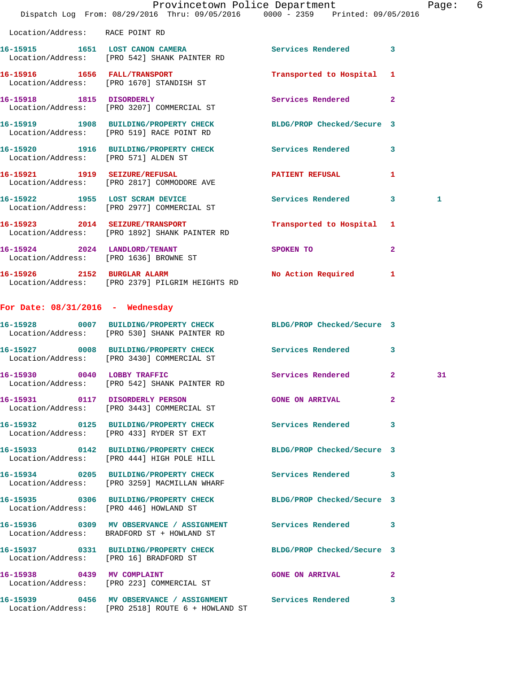|                                      | Dispatch Log From: 08/29/2016 Thru: 09/05/2016 0000 - 2359 Printed: 09/05/2016                                   | Provincetown Police Department | Page:        | 6 |
|--------------------------------------|------------------------------------------------------------------------------------------------------------------|--------------------------------|--------------|---|
| Location/Address: RACE POINT RD      |                                                                                                                  |                                |              |   |
|                                      | 16-15915 1651 LOST CANON CAMERA Services Rendered 3<br>Location/Address: [PRO 542] SHANK PAINTER RD              |                                |              |   |
|                                      | 16-15916 1656 FALL/TRANSPORT<br>Location/Address: [PRO 1670] STANDISH ST                                         | Transported to Hospital 1      |              |   |
|                                      | 16-15918 1815 DISORDERLY<br>Location/Address: [PRO 3207] COMMERCIAL ST                                           | Services Rendered 2            |              |   |
|                                      | 16-15919 1908 BUILDING/PROPERTY CHECK BLDG/PROP Checked/Secure 3<br>Location/Address: [PRO 519] RACE POINT RD    |                                |              |   |
| Location/Address: [PRO 571] ALDEN ST | 16-15920 1916 BUILDING/PROPERTY CHECK Services Rendered 3                                                        |                                |              |   |
|                                      | 16-15921 1919 SEIZURE/REFUSAL<br>Location/Address: [PRO 2817] COMMODORE AVE                                      | PATIENT REFUSAL                | $\mathbf{1}$ |   |
|                                      | 16-15922 1955 LOST SCRAM DEVICE<br>Location/Address: [PRO 2977] COMMERCIAL ST                                    | Services Rendered 3            | 1            |   |
|                                      | 16-15923 2014 SEIZURE/TRANSPORT<br>Location/Address: [PRO 1892] SHANK PAINTER RD                                 | Transported to Hospital 1      |              |   |
|                                      | 16-15924 2024 LANDLORD/TENANT<br>Location/Address: [PRO 1636] BROWNE ST                                          | SPOKEN TO                      | $\mathbf{2}$ |   |
|                                      | 16-15926 2152 BURGLAR ALARM<br>Location/Address: [PRO 2379] PILGRIM HEIGHTS RD                                   | No Action Required 1           |              |   |
| For Date: $08/31/2016$ - Wednesday   |                                                                                                                  |                                |              |   |
|                                      | 16-15928 0007 BUILDING/PROPERTY CHECK BLDG/PROP Checked/Secure 3<br>Location/Address: [PRO 530] SHANK PAINTER RD |                                |              |   |
|                                      | 16-15927 0008 BUILDING/PROPERTY CHECK Services Rendered 3<br>Location/Address: [PRO 3430] COMMERCIAL ST          |                                |              |   |
| 16-15930 0040 LOBBY TRAFFIC          | Location/Address: [PRO 542] SHANK PAINTER RD                                                                     | Services Rendered 2 31         |              |   |
|                                      | 16-15931 0117 DISORDERLY PERSON<br>Location/Address: [PRO 3443] COMMERCIAL ST                                    | <b>GONE ON ARRIVAL</b>         | $\mathbf{2}$ |   |
|                                      | 16-15932 0125 BUILDING/PROPERTY CHECK Services Rendered 3<br>Location/Address: [PRO 433] RYDER ST EXT            |                                |              |   |
|                                      | 16-15933 0142 BUILDING/PROPERTY CHECK BLDG/PROP Checked/Secure 3<br>Location/Address: [PRO 444] HIGH POLE HILL   |                                |              |   |
|                                      | 16-15934 0205 BUILDING/PROPERTY CHECK Services Rendered 3<br>Location/Address: [PRO 3259] MACMILLAN WHARF        |                                |              |   |
|                                      | 16-15935 0306 BUILDING/PROPERTY CHECK BLDG/PROP Checked/Secure 3<br>Location/Address: [PRO 446] HOWLAND ST       |                                |              |   |
|                                      | 16-15936 0309 MV OBSERVANCE / ASSIGNMENT Services Rendered 3<br>Location/Address: BRADFORD ST + HOWLAND ST       |                                |              |   |
|                                      | 16-15937 0331 BUILDING/PROPERTY CHECK BLDG/PROP Checked/Secure 3<br>Location/Address: [PRO 16] BRADFORD ST       |                                |              |   |
|                                      | 16-15938 0439 MV COMPLAINT<br>Location/Address: [PRO 223] COMMERCIAL ST                                          | <b>GONE ON ARRIVAL</b>         | $\mathbf{2}$ |   |
|                                      | 16-15939 0456 MV OBSERVANCE / ASSIGNMENT Services Rendered 3                                                     |                                |              |   |

Location/Address: [PRO 2518] ROUTE 6 + HOWLAND ST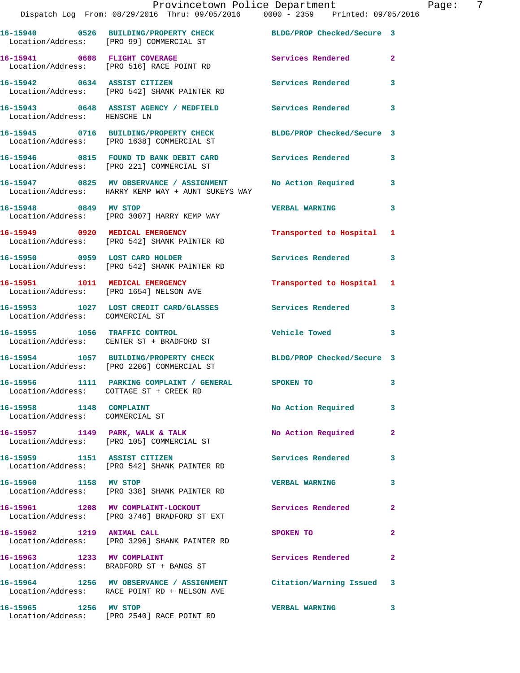|                                                            | Provincetown Police Department<br>Dispatch Log From: 08/29/2016 Thru: 09/05/2016 0000 - 2359 Printed: 09/05/2016 |                            |                |
|------------------------------------------------------------|------------------------------------------------------------------------------------------------------------------|----------------------------|----------------|
|                                                            | 16-15940 0526 BUILDING/PROPERTY CHECK BLDG/PROP Checked/Secure 3<br>Location/Address: [PRO 99] COMMERCIAL ST     |                            |                |
|                                                            | 16-15941 0608 FLIGHT COVERAGE<br>Location/Address: [PRO 516] RACE POINT RD                                       | Services Rendered          | $\mathbf{2}$   |
|                                                            | 16-15942 0634 ASSIST CITIZEN<br>Location/Address: [PRO 542] SHANK PAINTER RD                                     | <b>Services Rendered</b>   | 3              |
| Location/Address: HENSCHE LN                               | 16-15943 0648 ASSIST AGENCY / MEDFIELD Services Rendered                                                         |                            | 3              |
|                                                            | 16-15945 0716 BUILDING/PROPERTY CHECK<br>Location/Address: [PRO 1638] COMMERCIAL ST                              | BLDG/PROP Checked/Secure 3 |                |
|                                                            | 16-15946 0815 FOUND TD BANK DEBIT CARD Services Rendered<br>Location/Address: [PRO 221] COMMERCIAL ST            |                            | 3              |
|                                                            | 16-15947 0825 MV OBSERVANCE / ASSIGNMENT<br>Location/Address: HARRY KEMP WAY + AUNT SUKEYS WAY                   | No Action Required         | 3              |
| 16-15948 0849 MV STOP                                      | Location/Address: [PRO 3007] HARRY KEMP WAY                                                                      | <b>VERBAL WARNING</b>      | 3              |
|                                                            | 16-15949 0920 MEDICAL EMERGENCY<br>Location/Address: [PRO 542] SHANK PAINTER RD                                  | Transported to Hospital    | 1              |
|                                                            | 16-15950 0959 LOST CARD HOLDER<br>Location/Address: [PRO 542] SHANK PAINTER RD                                   | Services Rendered          | 3              |
|                                                            | 16-15951 1011 MEDICAL EMERGENCY<br>Location/Address: [PRO 1654] NELSON AVE                                       | Transported to Hospital    | 1              |
| Location/Address: COMMERCIAL ST                            | 16-15953 1027 LOST CREDIT CARD/GLASSES Services Rendered                                                         |                            | 3              |
|                                                            | 16-15955 1056 TRAFFIC CONTROL<br>Location/Address: CENTER ST + BRADFORD ST                                       | <b>Vehicle Towed</b>       | 3              |
|                                                            | 16-15954 1057 BUILDING/PROPERTY CHECK<br>Location/Address: [PRO 2206] COMMERCIAL ST                              | BLDG/PROP Checked/Secure 3 |                |
|                                                            | 16-15956 1111 PARKING COMPLAINT / GENERAL<br>Location/Address: COTTAGE ST + CREEK RD                             | SPOKEN TO                  | 3              |
| 16-15958 1148 COMPLAINT<br>Location/Address: COMMERCIAL ST |                                                                                                                  | No Action Required         | 3              |
|                                                            | 16-15957 1149 PARK, WALK & TALK<br>Location/Address: [PRO 105] COMMERCIAL ST                                     | No Action Required         | 2              |
| 16-15959 1151 ASSIST CITIZEN                               | Location/Address: [PRO 542] SHANK PAINTER RD                                                                     | <b>Services Rendered</b>   | 3              |
| 16-15960 1158 MV STOP                                      | Location/Address: [PRO 338] SHANK PAINTER RD                                                                     | <b>VERBAL WARNING</b>      | 3              |
|                                                            | 16-15961 1208 MV COMPLAINT-LOCKOUT<br>Location/Address: [PRO 3746] BRADFORD ST EXT                               | <b>Services Rendered</b>   | 2              |
| 16-15962 1219 ANIMAL CALL                                  | Location/Address: [PRO 3296] SHANK PAINTER RD                                                                    | SPOKEN TO                  | $\overline{a}$ |
| 16-15963 1233 MV COMPLAINT                                 | Location/Address: BRADFORD ST + BANGS ST                                                                         | <b>Services Rendered</b>   | $\mathbf{2}$   |
|                                                            | 16-15964 1256 MV OBSERVANCE / ASSIGNMENT Citation/Warning Issued<br>Location/Address: RACE POINT RD + NELSON AVE |                            | 3              |
| 16-15965 1256 MV STOP                                      |                                                                                                                  | <b>VERBAL WARNING</b>      | 3              |

Location/Address: [PRO 2540] RACE POINT RD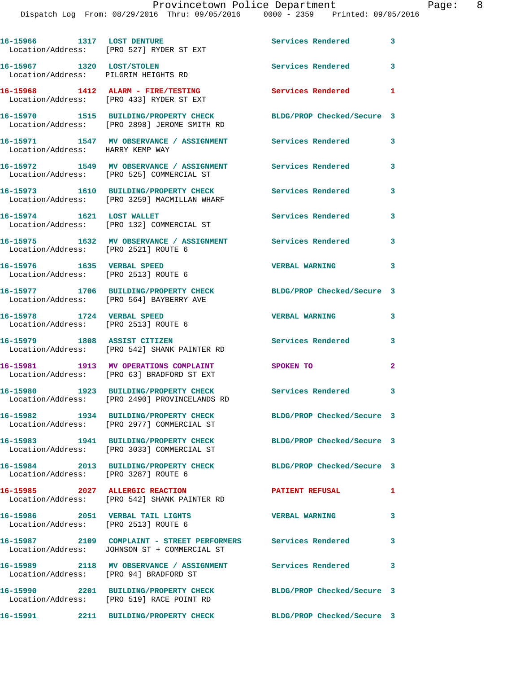| 16-15966 1317 LOST DENTURE                                               | Location/Address: [PRO 527] RYDER ST EXT                                                                       | Services Rendered 3        |                            |
|--------------------------------------------------------------------------|----------------------------------------------------------------------------------------------------------------|----------------------------|----------------------------|
| 16-15967 1320 LOST/STOLEN<br>Location/Address: PILGRIM HEIGHTS RD        |                                                                                                                | Services Rendered          | 3                          |
|                                                                          | 16-15968 1412 ALARM - FIRE/TESTING<br>Location/Address: [PRO 433] RYDER ST EXT                                 | Services Rendered 1        |                            |
|                                                                          | 16-15970 1515 BUILDING/PROPERTY CHECK<br>Location/Address: [PRO 2898] JEROME SMITH RD                          | BLDG/PROP Checked/Secure 3 |                            |
| Location/Address: HARRY KEMP WAY                                         | 16-15971 1547 MV OBSERVANCE / ASSIGNMENT Services Rendered                                                     |                            | 3                          |
|                                                                          | 16-15972 1549 MV OBSERVANCE / ASSIGNMENT Services Rendered<br>Location/Address: [PRO 525] COMMERCIAL ST        |                            | 3                          |
|                                                                          | 16-15973 1610 BUILDING/PROPERTY CHECK<br>Location/Address: [PRO 3259] MACMILLAN WHARF                          | <b>Services Rendered</b>   | 3                          |
| 16-15974 1621 LOST WALLET                                                | Location/Address: [PRO 132] COMMERCIAL ST                                                                      | Services Rendered          | 3                          |
| Location/Address: [PRO 2521] ROUTE 6                                     | 16-15975 1632 MV OBSERVANCE / ASSIGNMENT Services Rendered                                                     |                            | 3                          |
| 16-15976   1635   VERBAL SPEED<br>Location/Address: [PRO 2513] ROUTE 6   |                                                                                                                | <b>VERBAL WARNING</b>      | 3                          |
|                                                                          | 16-15977 1706 BUILDING/PROPERTY CHECK<br>Location/Address: [PRO 564] BAYBERRY AVE                              | BLDG/PROP Checked/Secure 3 |                            |
| 16-15978 1724 VERBAL SPEED<br>Location/Address: [PRO 2513] ROUTE 6       |                                                                                                                | <b>VERBAL WARNING</b>      | 3                          |
|                                                                          | 16-15979 1808 ASSIST CITIZEN<br>Location/Address: [PRO 542] SHANK PAINTER RD                                   | Services Rendered          | 3                          |
|                                                                          | 16-15981 1913 MV OPERATIONS COMPLAINT<br>Location/Address: [PRO 63] BRADFORD ST EXT                            | SPOKEN TO                  | $\overline{a}$             |
|                                                                          | 16-15980 1923 BUILDING/PROPERTY CHECK<br>Location/Address: [PRO 2490] PROVINCELANDS RD                         | Services Rendered          | $\overline{\phantom{a}}$ 3 |
|                                                                          | 16-15982 1934 BUILDING/PROPERTY CHECK<br>Location/Address: [PRO 2977] COMMERCIAL ST                            | BLDG/PROP Checked/Secure 3 |                            |
|                                                                          | 16-15983 1941 BUILDING/PROPERTY CHECK BLDG/PROP Checked/Secure 3<br>Location/Address: [PRO 3033] COMMERCIAL ST |                            |                            |
| Location/Address: [PRO 3287] ROUTE 6                                     | 16-15984 2013 BUILDING/PROPERTY CHECK                                                                          | BLDG/PROP Checked/Secure 3 |                            |
|                                                                          | 16-15985 2027 ALLERGIC REACTION<br>Location/Address: [PRO 542] SHANK PAINTER RD                                | <b>PATIENT REFUSAL</b>     | 1                          |
| 16-15986 2051 VERBAL TAIL LIGHTS<br>Location/Address: [PRO 2513] ROUTE 6 |                                                                                                                | <b>VERBAL WARNING</b>      | 3                          |
|                                                                          | 16-15987 2109 COMPLAINT - STREET PERFORMERS Services Rendered<br>Location/Address: JOHNSON ST + COMMERCIAL ST  |                            | 3                          |
| Location/Address: [PRO 94] BRADFORD ST                                   | 16-15989 2118 MV OBSERVANCE / ASSIGNMENT Services Rendered                                                     |                            | 3                          |
|                                                                          | 16-15990 2201 BUILDING/PROPERTY CHECK<br>Location/Address: [PRO 519] RACE POINT RD                             | BLDG/PROP Checked/Secure 3 |                            |
|                                                                          | 16-15991 2211 BUILDING/PROPERTY CHECK                                                                          | BLDG/PROP Checked/Secure 3 |                            |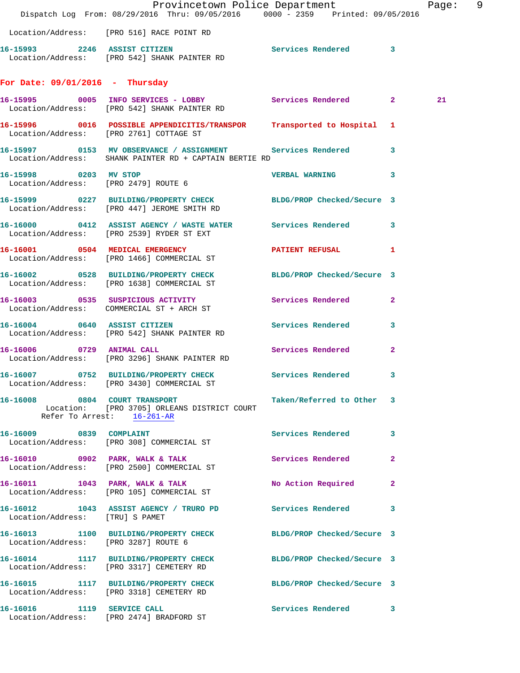|                                                               | Provincetown Police Department<br>Dispatch Log From: 08/29/2016 Thru: 09/05/2016 0000 - 2359 Printed: 09/05/2016       |                            |              | Page: 9 |  |
|---------------------------------------------------------------|------------------------------------------------------------------------------------------------------------------------|----------------------------|--------------|---------|--|
|                                                               | Location/Address: [PRO 516] RACE POINT RD                                                                              |                            |              |         |  |
|                                                               | 16-15993 2246 ASSIST CITIZEN<br>Location/Address: [PRO 542] SHANK PAINTER RD                                           | Services Rendered 3        |              |         |  |
| For Date: $09/01/2016$ - Thursday                             |                                                                                                                        |                            |              |         |  |
|                                                               | 16-15995 0005 INFO SERVICES - LOBBY Services Rendered 2<br>Location/Address: [PRO 542] SHANK PAINTER RD                |                            |              | 21      |  |
|                                                               | 16-15996 0016 POSSIBLE APPENDICITIS/TRANSPOR Transported to Hospital 1<br>Location/Address: [PRO 2761] COTTAGE ST      |                            |              |         |  |
|                                                               | 16-15997 0153 MV OBSERVANCE / ASSIGNMENT Services Rendered 3<br>Location/Address: SHANK PAINTER RD + CAPTAIN BERTIE RD |                            |              |         |  |
| 16-15998 0203 MV STOP<br>Location/Address: [PRO 2479] ROUTE 6 |                                                                                                                        | <b>VERBAL WARNING</b>      | 3            |         |  |
|                                                               | 16-15999 0227 BUILDING/PROPERTY CHECK BLDG/PROP Checked/Secure 3<br>Location/Address: [PRO 447] JEROME SMITH RD        |                            |              |         |  |
|                                                               | 16-16000 0412 ASSIST AGENCY / WASTE WATER Services Rendered 3<br>Location/Address: [PRO 2539] RYDER ST EXT             |                            |              |         |  |
|                                                               | 16-16001 0504 MEDICAL EMERGENCY<br>Location/Address: [PRO 1466] COMMERCIAL ST                                          | <b>PATIENT REFUSAL</b>     | 1            |         |  |
|                                                               | 16-16002 0528 BUILDING/PROPERTY CHECK BLDG/PROP Checked/Secure 3<br>Location/Address: [PRO 1638] COMMERCIAL ST         |                            |              |         |  |
|                                                               | 16-16003 0535 SUSPICIOUS ACTIVITY<br>Location/Address: COMMERCIAL ST + ARCH ST                                         | <b>Services Rendered</b>   | $\mathbf{2}$ |         |  |
|                                                               | 16-16004 0640 ASSIST CITIZEN<br>Location/Address: [PRO 542] SHANK PAINTER RD                                           | Services Rendered 3        |              |         |  |
| 16-16006 0729 ANIMAL CALL                                     | Location/Address: [PRO 3296] SHANK PAINTER RD                                                                          | Services Rendered          | $\mathbf{2}$ |         |  |
|                                                               | 16-16007 0752 BUILDING/PROPERTY CHECK Services Rendered 3<br>Location/Address: [PRO 3430] COMMERCIAL ST                |                            |              |         |  |
|                                                               | 16-16008 0804 COURT TRANSPORT<br>Location: [PRO 3705] ORLEANS DISTRICT COURT<br>Refer To Arrest: 16-261-AR             | Taken/Referred to Other 3  |              |         |  |
|                                                               | 16-16009 0839 COMPLAINT<br>Location/Address: [PRO 308] COMMERCIAL ST                                                   | Services Rendered          | 3            |         |  |
|                                                               | 16-16010 0902 PARK, WALK & TALK<br>Location/Address: [PRO 2500] COMMERCIAL ST                                          | Services Rendered          | $\mathbf{2}$ |         |  |
|                                                               | 16-16011 1043 PARK, WALK & TALK<br>Location/Address: [PRO 105] COMMERCIAL ST                                           | No Action Required         | $\mathbf{2}$ |         |  |
| Location/Address: [TRU] S PAMET                               | 16-16012 1043 ASSIST AGENCY / TRURO PD Services Rendered                                                               |                            | 3            |         |  |
| Location/Address: [PRO 3287] ROUTE 6                          | 16-16013 1100 BUILDING/PROPERTY CHECK BLDG/PROP Checked/Secure 3                                                       |                            |              |         |  |
|                                                               | 16-16014 1117 BUILDING/PROPERTY CHECK<br>Location/Address: [PRO 3317] CEMETERY RD                                      | BLDG/PROP Checked/Secure 3 |              |         |  |
|                                                               | 16-16015 1117 BUILDING/PROPERTY CHECK BLDG/PROP Checked/Secure 3<br>Location/Address: [PRO 3318] CEMETERY RD           |                            |              |         |  |
|                                                               | 16-16016 1119 SERVICE CALL<br>Location/Address: [PRO 2474] BRADFORD ST                                                 | Services Rendered 3        |              |         |  |
|                                                               |                                                                                                                        |                            |              |         |  |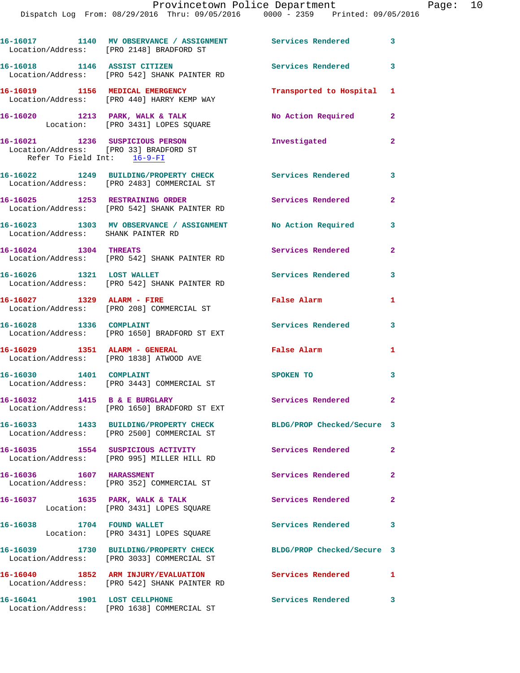|                                    | 16-16017 1140 MV OBSERVANCE / ASSIGNMENT Services Rendered 3<br>Location/Address: [PRO 2148] BRADFORD ST |                            |                         |
|------------------------------------|----------------------------------------------------------------------------------------------------------|----------------------------|-------------------------|
|                                    | 16-16018 1146 ASSIST CITIZEN<br>Location/Address: [PRO 542] SHANK PAINTER RD                             | <b>Services Rendered</b>   | $\overline{\mathbf{3}}$ |
|                                    | 16-16019 1156 MEDICAL EMERGENCY<br>Location/Address: [PRO 440] HARRY KEMP WAY                            | Transported to Hospital    | $\mathbf{1}$            |
|                                    | 16-16020 1213 PARK, WALK & TALK<br>Location: [PRO 3431] LOPES SQUARE                                     | No Action Required         | $\mathbf{2}$            |
| Refer To Field Int: 16-9-FI        | 16-16021 1236 SUSPICIOUS PERSON<br>Location/Address: [PRO 33] BRADFORD ST                                | Investigated               | $\overline{2}$          |
|                                    | 16-16022 1249 BUILDING/PROPERTY CHECK<br>Location/Address: [PRO 2483] COMMERCIAL ST                      | <b>Services Rendered</b> 3 |                         |
| 16-16025 1253 RESTRAINING ORDER    | Location/Address: [PRO 542] SHANK PAINTER RD                                                             | Services Rendered          | $\mathbf{2}$            |
| Location/Address: SHANK PAINTER RD | 16-16023 1303 MV OBSERVANCE / ASSIGNMENT No Action Required                                              |                            | 3                       |
| 16-16024 1304 THREATS              | Location/Address: [PRO 542] SHANK PAINTER RD                                                             | <b>Services Rendered</b>   | $\overline{2}$          |
| 16-16026 1321 LOST WALLET          | Location/Address: [PRO 542] SHANK PAINTER RD                                                             | <b>Services Rendered</b>   | 3                       |
| 16-16027 1329 ALARM - FIRE         | Location/Address: [PRO 208] COMMERCIAL ST                                                                | <b>False Alarm</b>         | $\mathbf{1}$            |
| 16-16028 1336 COMPLAINT            | Location/Address: [PRO 1650] BRADFORD ST EXT                                                             | Services Rendered 3        |                         |
|                                    | 16-16029 1351 ALARM - GENERAL<br>Location/Address: [PRO 1838] ATWOOD AVE                                 | False Alarm                | 1                       |
| 16-16030 1401 COMPLAINT            | Location/Address: [PRO 3443] COMMERCIAL ST                                                               | <b>SPOKEN TO</b>           | $\overline{\mathbf{3}}$ |
| 16-16032                           | 1415 B & E BURGLARY<br>Location/Address: [PRO 1650] BRADFORD ST EXT                                      | Services Rendered          | $\mathbf{2}$            |
|                                    | 16-16033 1433 BUILDING/PROPERTY CHECK<br>Location/Address: [PRO 2500] COMMERCIAL ST                      | BLDG/PROP Checked/Secure 3 |                         |
|                                    | 16-16035 1554 SUSPICIOUS ACTIVITY<br>Location/Address: [PRO 995] MILLER HILL RD                          | Services Rendered          | $\mathbf{2}$            |
|                                    | Location/Address: [PRO 352] COMMERCIAL ST                                                                | Services Rendered          | $\mathbf{2}$            |
|                                    | 16-16037 1635 PARK, WALK & TALK<br>Location: [PRO 3431] LOPES SQUARE                                     | <b>Services Rendered</b>   | $\mathbf{2}$            |
| 16-16038 1704 FOUND WALLET         | Location: [PRO 3431] LOPES SQUARE                                                                        | Services Rendered          | 3                       |
|                                    | 16-16039 1730 BUILDING/PROPERTY CHECK<br>Location/Address: [PRO 3033] COMMERCIAL ST                      | BLDG/PROP Checked/Secure 3 |                         |
|                                    | 16-16040 1852 ARM INJURY/EVALUATION<br>Location/Address: [PRO 542] SHANK PAINTER RD                      | <b>Services Rendered</b>   | 1                       |
| 16-16041 1901 LOST CELLPHONE       | Location/Address: [PRO 1638] COMMERCIAL ST                                                               | Services Rendered          | 3                       |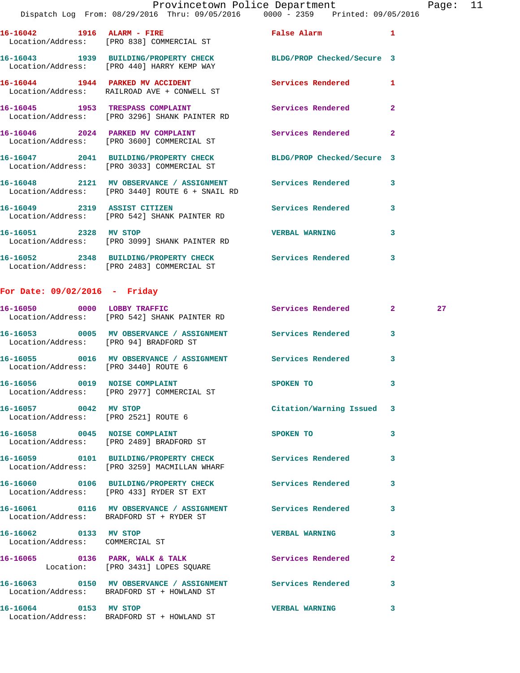|                                         | 16-16042 1916 ALARM - FIRE<br>Location/Address: [PRO 838] COMMERCIAL ST                                        | False Alarm                | $\mathbf{1}$   |    |
|-----------------------------------------|----------------------------------------------------------------------------------------------------------------|----------------------------|----------------|----|
|                                         | 16-16043 1939 BUILDING/PROPERTY CHECK<br>Location/Address: [PRO 440] HARRY KEMP WAY                            | BLDG/PROP Checked/Secure 3 |                |    |
|                                         | 16-16044 1944 PARKED MV ACCIDENT<br>Location/Address: RAILROAD AVE + CONWELL ST                                | <b>Services Rendered</b>   | 1              |    |
|                                         | 16-16045 1953 TRESPASS COMPLAINT<br>Location/Address: [PRO 3296] SHANK PAINTER RD                              | <b>Services Rendered</b>   | $\overline{2}$ |    |
|                                         | 16-16046 2024 PARKED MV COMPLAINT<br>Location/Address: [PRO 3600] COMMERCIAL ST                                | <b>Services Rendered</b>   | $\mathbf{2}$   |    |
|                                         | 16-16047 2041 BUILDING/PROPERTY CHECK BLDG/PROP Checked/Secure 3<br>Location/Address: [PRO 3033] COMMERCIAL ST |                            |                |    |
|                                         | Location/Address: [PRO 3440] ROUTE 6 + SNAIL RD                                                                |                            | 3              |    |
| 16-16049 2319 ASSIST CITIZEN            | Location/Address: [PRO 542] SHANK PAINTER RD                                                                   | <b>Services Rendered</b>   | 3              |    |
| 16-16051 2328 MV STOP                   | Location/Address: [PRO 3099] SHANK PAINTER RD                                                                  | <b>VERBAL WARNING</b>      | 3              |    |
|                                         | Location/Address: [PRO 2483] COMMERCIAL ST                                                                     |                            | 3              |    |
| For Date: $09/02/2016$ - Friday         |                                                                                                                |                            |                |    |
|                                         | 16-16050 0000 LOBBY TRAFFIC<br>Location/Address: [PRO 542] SHANK PAINTER RD                                    | Services Rendered          | $\overline{2}$ | 27 |
| Togation (Address: [DRO 04] PRADEOPD CT | 16-16053 0005 MV OBSERVANCE / ASSIGNMENT Services Rendered                                                     |                            | 3              |    |

|                                        | Location/Address: [PRO 542] SHANK PAINTER RD                                                                         |                         |                         |
|----------------------------------------|----------------------------------------------------------------------------------------------------------------------|-------------------------|-------------------------|
| Location/Address: [PRO 94] BRADFORD ST | 16-16053 0005 MV OBSERVANCE / ASSIGNMENT Services Rendered                                                           |                         | $\overline{\mathbf{3}}$ |
| Location/Address: [PRO 3440] ROUTE 6   |                                                                                                                      |                         | 3                       |
|                                        | 16-16056 0019 NOISE COMPLAINT<br>Location/Address: [PRO 2977] COMMERCIAL ST                                          | SPOKEN TO               | 3                       |
| 16-16057 0042 MV STOP                  | Location/Address: [PRO 2521] ROUTE 6                                                                                 | Citation/Warning Issued | 3                       |
|                                        | 16-16058 0045 NOISE COMPLAINT<br>Location/Address: [PRO 2489] BRADFORD ST                                            | SPOKEN TO               | $\overline{\mathbf{3}}$ |
|                                        | 16-16059      0101  BUILDING/PROPERTY CHECK        Services Rendered<br>Location/Address: [PRO 3259] MACMILLAN WHARF |                         | 3.                      |
|                                        | 16-16060  0106 BUILDING/PROPERTY CHECK Services Rendered<br>Location/Address: [PRO 433] RYDER ST EXT                 |                         | $\overline{\mathbf{3}}$ |
|                                        | 16-16061  0116 MV OBSERVANCE / ASSIGNMENT  Services Rendered<br>Location/Address: BRADFORD ST + RYDER ST             |                         | $\overline{\mathbf{3}}$ |
| Location/Address: COMMERCIAL ST        |                                                                                                                      | <b>VERBAL WARNING</b>   | $\overline{3}$          |
|                                        | 16-16065 0136 PARK, WALK & TALK<br>Location: [PRO 3431] LOPES SQUARE                                                 | Services Rendered       | $\mathbf{2}$            |
|                                        | Location/Address: BRADFORD ST + HOWLAND ST                                                                           |                         | 3                       |
| 16-16064 0153 MV STOP                  | Location/Address: BRADFORD ST + HOWLAND ST                                                                           | <b>VERBAL WARNING</b>   | 3                       |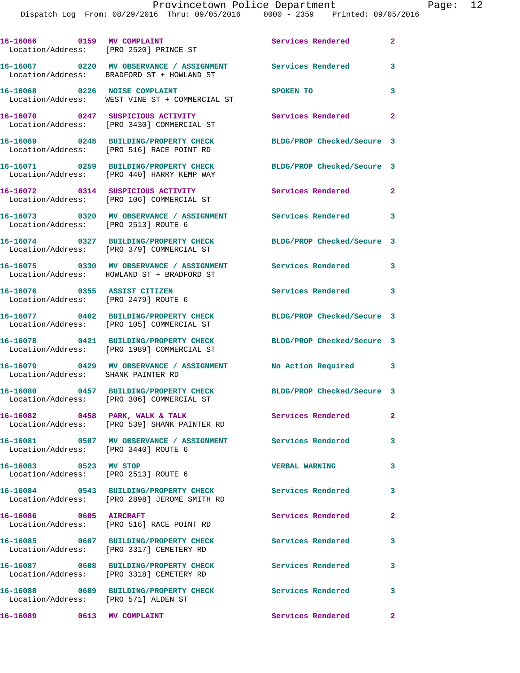|                                      | 16-16066 0159 MV COMPLAINT<br>Location/Address: [PRO 2520] PRINCE ST                                     | <b>Services Rendered</b>   | $\mathbf{2}$            |
|--------------------------------------|----------------------------------------------------------------------------------------------------------|----------------------------|-------------------------|
|                                      | 16-16067 0220 MV OBSERVANCE / ASSIGNMENT Services Rendered<br>Location/Address: BRADFORD ST + HOWLAND ST |                            | 3                       |
|                                      | 16-16068 0226 NOISE COMPLAINT<br>Location/Address: WEST VINE ST + COMMERCIAL ST                          | SPOKEN TO                  | 3                       |
|                                      | 16-16070 0247 SUSPICIOUS ACTIVITY<br>Location/Address: [PRO 3430] COMMERCIAL ST                          | Services Rendered 2        |                         |
|                                      | 16-16069 0248 BUILDING/PROPERTY CHECK<br>Location/Address: [PRO 516] RACE POINT RD                       | BLDG/PROP Checked/Secure 3 |                         |
|                                      | 16-16071 0259 BUILDING/PROPERTY CHECK<br>Location/Address: [PRO 440] HARRY KEMP WAY                      | BLDG/PROP Checked/Secure 3 |                         |
|                                      | 16-16072 0314 SUSPICIOUS ACTIVITY<br>Location/Address: [PRO 106] COMMERCIAL ST                           | Services Rendered          | $\mathbf{2}$            |
|                                      | 16-16073 0320 MV OBSERVANCE / ASSIGNMENT<br>Location/Address: [PRO 2513] ROUTE 6                         | <b>Services Rendered</b>   | 3                       |
|                                      | 16-16074 0327 BUILDING/PROPERTY CHECK<br>Location/Address: [PRO 379] COMMERCIAL ST                       | BLDG/PROP Checked/Secure 3 |                         |
|                                      | 16-16075 0330 MV OBSERVANCE / ASSIGNMENT<br>Location/Address: HOWLAND ST + BRADFORD ST                   | Services Rendered          | 3                       |
| 16-16076 0355 ASSIST CITIZEN         | Location/Address: [PRO 2479] ROUTE 6                                                                     | Services Rendered 3        |                         |
|                                      | 16-16077 0402 BUILDING/PROPERTY CHECK<br>Location/Address: [PRO 105] COMMERCIAL ST                       | BLDG/PROP Checked/Secure 3 |                         |
|                                      | 16-16078 0421 BUILDING/PROPERTY CHECK<br>Location/Address: [PRO 1989] COMMERCIAL ST                      | BLDG/PROP Checked/Secure 3 |                         |
| Location/Address: SHANK PAINTER RD   | 16-16079 0429 MV OBSERVANCE / ASSIGNMENT                                                                 | No Action Required         | $\overline{\mathbf{3}}$ |
|                                      | 16-16080 0457 BUILDING/PROPERTY CHECK<br>Location/Address: [PRO 306] COMMERCIAL ST                       | BLDG/PROP Checked/Secure 3 |                         |
|                                      | 16-16082 0458 PARK, WALK & TALK<br>Location/Address: [PRO 539] SHANK PAINTER RD                          | Services Rendered          | $\mathbf{2}$            |
| Location/Address: [PRO 3440] ROUTE 6 | 16-16081                 0507    MV OBSERVANCE  / ASSIGNMENT                Services Rendered            |                            | 3                       |
| 16-16083 0523 MV STOP                | Location/Address: [PRO 2513] ROUTE 6                                                                     | <b>VERBAL WARNING</b>      | 3                       |
|                                      | 16-16084 0543 BUILDING/PROPERTY CHECK<br>Location/Address: [PRO 2898] JEROME SMITH RD                    | <b>Services Rendered</b>   | 3                       |
| 16-16086 0605 AIRCRAFT               | Location/Address: [PRO 516] RACE POINT RD                                                                | Services Rendered          | $\mathbf{2}$            |
|                                      | 16-16085 0607 BUILDING/PROPERTY CHECK<br>Location/Address: [PRO 3317] CEMETERY RD                        | Services Rendered          | $\mathbf{3}$            |
|                                      | 16-16087 0608 BUILDING/PROPERTY CHECK<br>Location/Address: [PRO 3318] CEMETERY RD                        | <b>Services Rendered</b>   | 3                       |
| Location/Address: [PRO 571] ALDEN ST | 16-16088 0609 BUILDING/PROPERTY CHECK                                                                    | Services Rendered          | $\mathbf{3}$            |
| 16-16089 0613 MV COMPLAINT           |                                                                                                          | Services Rendered          | $\overline{2}$          |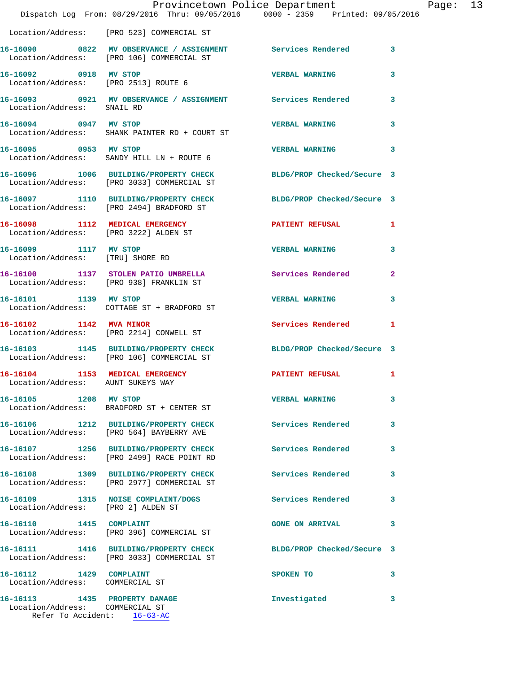|                                                                  | Dispatch Log From: 08/29/2016 Thru: 09/05/2016 0000 - 2359 Printed: 09/05/2016                                 | Provincetown Police Department |              | Page: 13 |  |
|------------------------------------------------------------------|----------------------------------------------------------------------------------------------------------------|--------------------------------|--------------|----------|--|
|                                                                  | Location/Address: [PRO 523] COMMERCIAL ST                                                                      |                                |              |          |  |
|                                                                  | 16-16090 0822 MV OBSERVANCE / ASSIGNMENT Services Rendered<br>Location/Address: [PRO 106] COMMERCIAL ST        |                                | 3            |          |  |
| 16-16092 0918 MV STOP<br>Location/Address: [PRO 2513] ROUTE 6    |                                                                                                                | <b>VERBAL WARNING</b>          | 3            |          |  |
| Location/Address: SNAIL RD                                       | 16-16093 0921 MV OBSERVANCE / ASSIGNMENT Services Rendered 3                                                   |                                |              |          |  |
| 16-16094 0947 MV STOP                                            | Location/Address: SHANK PAINTER RD + COURT ST                                                                  | <b>VERBAL WARNING</b>          | 3            |          |  |
| 16-16095 0953 MV STOP                                            | Location/Address: SANDY HILL LN + ROUTE 6                                                                      | <b>VERBAL WARNING</b>          | 3            |          |  |
|                                                                  | 16-16096 1006 BUILDING/PROPERTY CHECK BLDG/PROP Checked/Secure 3<br>Location/Address: [PRO 3033] COMMERCIAL ST |                                |              |          |  |
|                                                                  | 16-16097 1110 BUILDING/PROPERTY CHECK BLDG/PROP Checked/Secure 3<br>Location/Address: [PRO 2494] BRADFORD ST   |                                |              |          |  |
| Location/Address: [PRO 3222] ALDEN ST                            | 16-16098 1112 MEDICAL EMERGENCY                                                                                | PATIENT REFUSAL                | 1            |          |  |
| 16-16099 1117 MV STOP<br>Location/Address: [TRU] SHORE RD        |                                                                                                                | <b>VERBAL WARNING</b>          | 3            |          |  |
|                                                                  | 16-16100 1137 STOLEN PATIO UMBRELLA<br>Location/Address: [PRO 938] FRANKLIN ST                                 | Services Rendered              | $\mathbf{2}$ |          |  |
| 16-16101 1139 MV STOP                                            | Location/Address: COTTAGE ST + BRADFORD ST                                                                     | <b>VERBAL WARNING</b>          | 3            |          |  |
|                                                                  | 16-16102 1142 MVA MINOR<br>Location/Address: [PRO 2214] CONWELL ST                                             | Services Rendered 1            |              |          |  |
|                                                                  | 16-16103 1145 BUILDING/PROPERTY CHECK BLDG/PROP Checked/Secure 3<br>Location/Address: [PRO 106] COMMERCIAL ST  |                                |              |          |  |
| Location/Address: AUNT SUKEYS WAY                                | 16-16104 1153 MEDICAL EMERGENCY PATIENT REFUSAL                                                                |                                | -1           |          |  |
| 16-16105 1208 MV STOP                                            | Location/Address: BRADFORD ST + CENTER ST                                                                      | <b>VERBAL WARNING</b>          | 3            |          |  |
|                                                                  | 16-16106 1212 BUILDING/PROPERTY CHECK Services Rendered<br>Location/Address: [PRO 564] BAYBERRY AVE            |                                | 3            |          |  |
|                                                                  | 16-16107 1256 BUILDING/PROPERTY CHECK<br>Location/Address: [PRO 2499] RACE POINT RD                            | <b>Services Rendered</b>       | 3            |          |  |
|                                                                  | 16-16108 1309 BUILDING/PROPERTY CHECK<br>Location/Address: [PRO 2977] COMMERCIAL ST                            | <b>Services Rendered</b>       | 3            |          |  |
| Location/Address: [PRO 2] ALDEN ST                               | 16-16109 1315 NOISE COMPLAINT/DOGS                                                                             | Services Rendered              | 3            |          |  |
|                                                                  | 16-16110 1415 COMPLAINT<br>Location/Address: [PRO 396] COMMERCIAL ST                                           | <b>GONE ON ARRIVAL</b>         | 3            |          |  |
|                                                                  | 16-16111 1416 BUILDING/PROPERTY CHECK<br>Location/Address: [PRO 3033] COMMERCIAL ST                            | BLDG/PROP Checked/Secure 3     |              |          |  |
| 16-16112 1429 COMPLAINT<br>Location/Address: COMMERCIAL ST       |                                                                                                                | SPOKEN TO                      | 3            |          |  |
| 16-16113 1435 PROPERTY DAMAGE<br>Location/Address: COMMERCIAL ST | Refer To Accident: 16-63-AC                                                                                    | Investigated                   | 3            |          |  |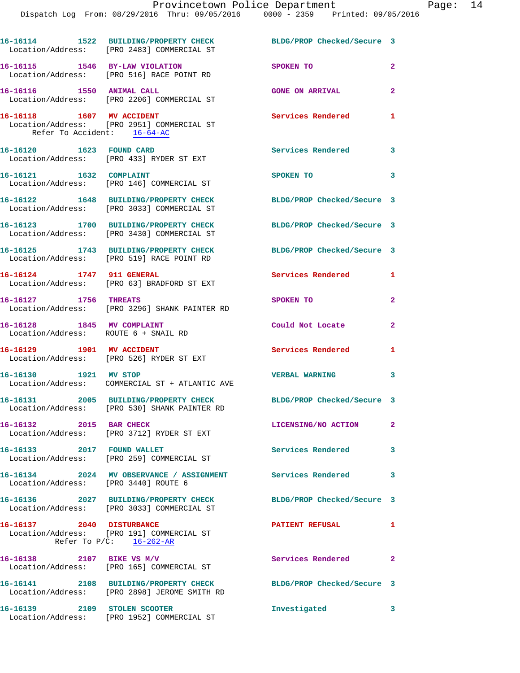|                                                                    | 16-16114 1522 BUILDING/PROPERTY CHECK<br>Location/Address: [PRO 2483] COMMERCIAL ST                              | BLDG/PROP Checked/Secure 3 |                         |
|--------------------------------------------------------------------|------------------------------------------------------------------------------------------------------------------|----------------------------|-------------------------|
|                                                                    | 16-16115 1546 BY-LAW VIOLATION<br>Location/Address: [PRO 516] RACE POINT RD                                      | SPOKEN TO                  | $\overline{2}$          |
| 16-16116   1550   ANIMAL CALL                                      | Location/Address: [PRO 2206] COMMERCIAL ST                                                                       | <b>GONE ON ARRIVAL</b>     | $\overline{a}$          |
| 16-16118    1607 MV ACCIDENT<br>Refer To Accident: 16-64-AC        | Location/Address: [PRO 2951] COMMERCIAL ST                                                                       | Services Rendered          | $\mathbf{1}$            |
| 16-16120    1623    FOUND CARD                                     | Location/Address: [PRO 433] RYDER ST EXT                                                                         | <b>Services Rendered</b> 3 |                         |
| 16-16121 1632 COMPLAINT                                            | Location/Address: [PRO 146] COMMERCIAL ST                                                                        | SPOKEN TO                  | 3                       |
|                                                                    | 16-16122 1648 BUILDING/PROPERTY CHECK<br>Location/Address: [PRO 3033] COMMERCIAL ST                              | BLDG/PROP Checked/Secure 3 |                         |
|                                                                    | 16-16123 1700 BUILDING/PROPERTY CHECK<br>Location/Address: [PRO 3430] COMMERCIAL ST                              | BLDG/PROP Checked/Secure 3 |                         |
|                                                                    | 16-16125 1743 BUILDING/PROPERTY CHECK<br>Location/Address: [PRO 519] RACE POINT RD                               | BLDG/PROP Checked/Secure 3 |                         |
| 16-16124 1747 911 GENERAL                                          | Location/Address: [PRO 63] BRADFORD ST EXT                                                                       | Services Rendered          | 1                       |
| 16-16127 1756 THREATS                                              | Location/Address: [PRO 3296] SHANK PAINTER RD                                                                    | SPOKEN TO                  | $\overline{a}$          |
| 16-16128 1845 MV COMPLAINT<br>Location/Address: ROUTE 6 + SNAIL RD |                                                                                                                  | Could Not Locate           | $\overline{2}$          |
| 16-16129 1901 MV ACCIDENT                                          | Location/Address: [PRO 526] RYDER ST EXT                                                                         | Services Rendered          | $\mathbf{1}$            |
| 16-16130 1921 MV STOP                                              | Location/Address: COMMERCIAL ST + ATLANTIC AVE                                                                   | <b>VERBAL WARNING</b>      | 3                       |
|                                                                    | 16-16131 2005 BUILDING/PROPERTY CHECK BLDG/PROP Checked/Secure 3<br>Location/Address: [PRO 530] SHANK PAINTER RD |                            |                         |
| 16-16132 2015 BAR CHECK                                            | Location/Address: [PRO 3712] RYDER ST EXT                                                                        | LICENSING/NO ACTION        | $\mathbf{2}$            |
| 16-16133 2017 FOUND WALLET                                         | Location/Address: [PRO 259] COMMERCIAL ST                                                                        | <b>Services Rendered</b>   | 3                       |
| Location/Address: [PRO 3440] ROUTE 6                               | 16-16134 2024 MV OBSERVANCE / ASSIGNMENT Services Rendered                                                       |                            | $\overline{\mathbf{3}}$ |
|                                                                    | 16-16136 2027 BUILDING/PROPERTY CHECK<br>Location/Address: [PRO 3033] COMMERCIAL ST                              | BLDG/PROP Checked/Secure 3 |                         |
| 16-16137 2040 DISTURBANCE                                          | Location/Address: [PRO 191] COMMERCIAL ST<br>Refer To $P/C$ : 16-262-AR                                          | <b>PATIENT REFUSAL</b>     | $\mathbf{1}$            |
| 16-16138 2107 BIKE VS M/V                                          | Location/Address: [PRO 165] COMMERCIAL ST                                                                        | Services Rendered 2        |                         |
|                                                                    | 16-16141 2108 BUILDING/PROPERTY CHECK<br>Location/Address: [PRO 2898] JEROME SMITH RD                            | BLDG/PROP Checked/Secure 3 |                         |
| 16-16139 2109 STOLEN SCOOTER                                       | Location/Address: [PRO 1952] COMMERCIAL ST                                                                       | Investigated               | 3                       |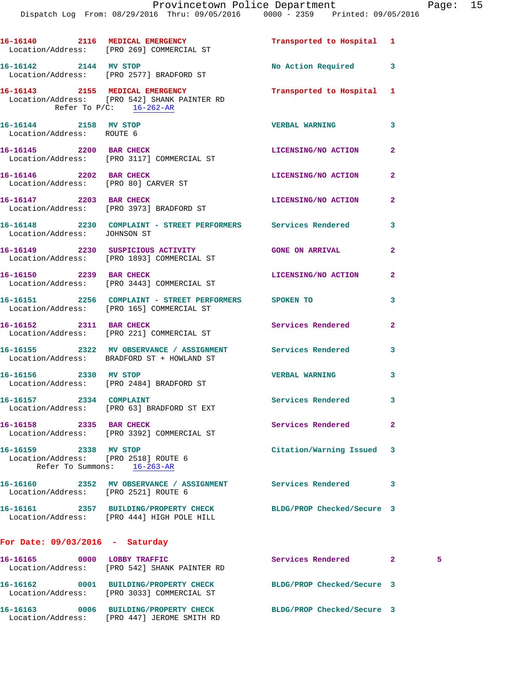|                                                    | 16-16140 2116 MEDICAL EMERGENCY<br>Location/Address: [PRO 269] COMMERCIAL ST                                  | Transported to Hospital 1  |                   |
|----------------------------------------------------|---------------------------------------------------------------------------------------------------------------|----------------------------|-------------------|
|                                                    | 16-16142 2144 MV STOP<br>Location/Address: [PRO 2577] BRADFORD ST                                             | No Action Required         | 3                 |
|                                                    | 16-16143 2155 MEDICAL EMERGENCY<br>Location/Address: [PRO 542] SHANK PAINTER RD<br>Refer To $P/C$ : 16-262-AR | Transported to Hospital 1  |                   |
| 16-16144 2158 MV STOP<br>Location/Address: ROUTE 6 |                                                                                                               | <b>VERBAL WARNING</b>      | 3                 |
|                                                    | 16-16145 2200 BAR CHECK<br>Location/Address: [PRO 3117] COMMERCIAL ST                                         | LICENSING/NO ACTION        | $\overline{2}$    |
|                                                    | 16-16146 2202 BAR CHECK<br>Location/Address: [PRO 80] CARVER ST                                               | LICENSING/NO ACTION        | $\overline{a}$    |
|                                                    | 16-16147 2203 BAR CHECK<br>Location/Address: [PRO 3973] BRADFORD ST                                           | LICENSING/NO ACTION        | $\overline{2}$    |
| Location/Address: JOHNSON ST                       | 16-16148 2230 COMPLAINT - STREET PERFORMERS Services Rendered                                                 |                            | 3                 |
|                                                    | 16-16149 2230 SUSPICIOUS ACTIVITY<br>Location/Address: [PRO 1893] COMMERCIAL ST                               | <b>GONE ON ARRIVAL</b>     | $\overline{2}$    |
| 16-16150 2239 BAR CHECK                            | Location/Address: [PRO 3443] COMMERCIAL ST                                                                    | LICENSING/NO ACTION        | $\mathbf{2}$      |
|                                                    | 16-16151  2256  COMPLAINT - STREET PERFORMERS  SPOKEN TO<br>Location/Address: [PRO 165] COMMERCIAL ST         |                            | 3                 |
| 16-16152 2311 BAR CHECK                            | Location/Address: [PRO 221] COMMERCIAL ST                                                                     | Services Rendered          | 2                 |
|                                                    | 16-16155 2322 MV OBSERVANCE / ASSIGNMENT Services Rendered<br>Location/Address: BRADFORD ST + HOWLAND ST      |                            | 3                 |
| 16-16156 2330 MV STOP                              | Location/Address: [PRO 2484] BRADFORD ST                                                                      | <b>VERBAL WARNING</b>      | 3                 |
| 16-16157 2334 COMPLAINT                            | Location/Address: [PRO 63] BRADFORD ST EXT                                                                    | Services Rendered          | $\mathbf{3}$      |
| 16-16158 2335 BAR CHECK                            | Location/Address: [PRO 3392] COMMERCIAL ST                                                                    | <b>Services Rendered</b>   | 2                 |
| 16-16159 2338 MV STOP                              | Location/Address: [PRO 2518] ROUTE 6<br>Refer To Summons: 16-263-AR                                           | Citation/Warning Issued    | 3                 |
|                                                    | 16-16160 2352 MV OBSERVANCE / ASSIGNMENT Services Rendered<br>Location/Address: [PRO 2521] ROUTE 6            |                            | 3                 |
|                                                    |                                                                                                               | BLDG/PROP Checked/Secure 3 |                   |
| For Date: $09/03/2016$ - Saturday                  |                                                                                                               |                            |                   |
| 16-16165 0000 LOBBY TRAFFIC                        | Location/Address: [PRO 542] SHANK PAINTER RD                                                                  | Services Rendered          | $\mathbf{2}$<br>5 |
|                                                    | 16-16162 0001 BUILDING/PROPERTY CHECK<br>Location/Address: [PRO 3033] COMMERCIAL ST                           | BLDG/PROP Checked/Secure 3 |                   |
|                                                    | 16-16163 0006 BUILDING/PROPERTY CHECK                                                                         | BLDG/PROP Checked/Secure 3 |                   |

Location/Address: [PRO 447] JEROME SMITH RD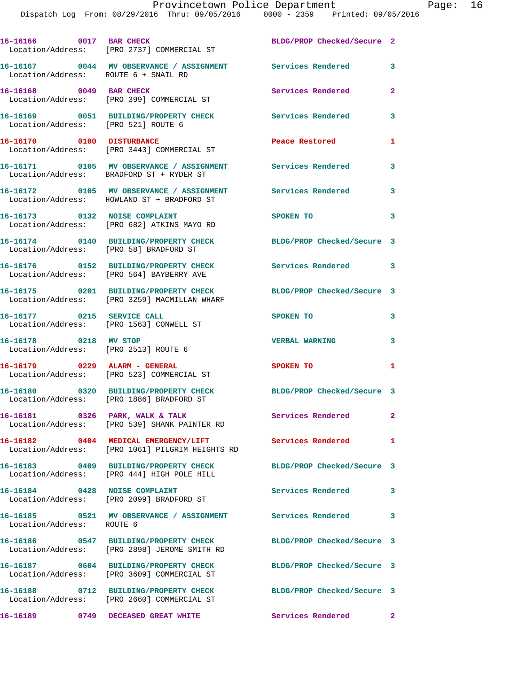| 16-16166 0017 BAR CHECK    | Location/Address: [PRO 2737] COMMERCIAL ST                                                               | BLDG/PROP Checked/Secure 2 |                         |
|----------------------------|----------------------------------------------------------------------------------------------------------|----------------------------|-------------------------|
|                            | 16-16167 0044 MV OBSERVANCE / ASSIGNMENT Services Rendered<br>Location/Address: ROUTE 6 + SNAIL RD       |                            | 3                       |
|                            | 16-16168 0049 BAR CHECK<br>Location/Address: [PRO 399] COMMERCIAL ST                                     | Services Rendered          | $\mathbf{2}$            |
|                            | 16-16169 0051 BUILDING/PROPERTY CHECK<br>Location/Address: [PRO 521] ROUTE 6                             | <b>Services Rendered</b>   | $\overline{\mathbf{3}}$ |
|                            | 16-16170 0100 DISTURBANCE<br>Location/Address: [PRO 3443] COMMERCIAL ST                                  | Peace Restored             | 1                       |
|                            | 16-16171  0105 MV OBSERVANCE / ASSIGNMENT Services Rendered<br>Location/Address: BRADFORD ST + RYDER ST  |                            | $\overline{\mathbf{3}}$ |
|                            | 16-16172 0105 MV OBSERVANCE / ASSIGNMENT Services Rendered<br>Location/Address: HOWLAND ST + BRADFORD ST |                            | 3                       |
|                            | 16-16173 0132 NOISE COMPLAINT<br>Location/Address: [PRO 682] ATKINS MAYO RD                              | SPOKEN TO                  | $\overline{\mathbf{3}}$ |
|                            | 16-16174 0140 BUILDING/PROPERTY CHECK<br>Location/Address: [PRO 58] BRADFORD ST                          | BLDG/PROP Checked/Secure 3 |                         |
|                            | 16-16176 0152 BUILDING/PROPERTY CHECK<br>Location/Address: [PRO 564] BAYBERRY AVE                        | Services Rendered 3        |                         |
|                            | 16-16175 0201 BUILDING/PROPERTY CHECK<br>Location/Address: [PRO 3259] MACMILLAN WHARF                    | BLDG/PROP Checked/Secure 3 |                         |
| 16-16177 0215 SERVICE CALL | Location/Address: [PRO 1563] CONWELL ST                                                                  | SPOKEN TO                  | 3                       |
| 16-16178 0218 MV STOP      | Location/Address: [PRO 2513] ROUTE 6                                                                     | <b>VERBAL WARNING</b>      | 3                       |
|                            | 16-16179   0229   ALARM - GENERAL<br>Location/Address: [PRO 523] COMMERCIAL ST                           | SPOKEN TO                  | 1                       |
|                            | 16-16180 0320 BUILDING/PROPERTY CHECK<br>Location/Address: [PRO 1886] BRADFORD ST                        | BLDG/PROP Checked/Secure 3 |                         |
|                            | Location/Address: [PRO 539] SHANK PAINTER RD                                                             | Services Rendered 2        |                         |
|                            | 16-16182 0404 MEDICAL EMERGENCY/LIFT<br>Location/Address: [PRO 1061] PILGRIM HEIGHTS RD                  | <b>Services Rendered</b>   | 1                       |
|                            | 16-16183 0409 BUILDING/PROPERTY CHECK<br>Location/Address: [PRO 444] HIGH POLE HILL                      | BLDG/PROP Checked/Secure 3 |                         |
|                            | 16-16184 0428 NOISE COMPLAINT<br>Location/Address: [PRO 2099] BRADFORD ST                                | <b>Services Rendered</b>   | 3                       |
| Location/Address: ROUTE 6  | 16-16185 0521 MV OBSERVANCE / ASSIGNMENT Services Rendered                                               |                            | $\overline{\mathbf{3}}$ |
|                            | Location/Address: [PRO 2898] JEROME SMITH RD                                                             | BLDG/PROP Checked/Secure 3 |                         |
|                            | 16-16187 0604 BUILDING/PROPERTY CHECK<br>Location/Address: [PRO 3609] COMMERCIAL ST                      | BLDG/PROP Checked/Secure 3 |                         |
|                            | 16-16188 0712 BUILDING/PROPERTY CHECK<br>Location/Address: [PRO 2660] COMMERCIAL ST                      | BLDG/PROP Checked/Secure 3 |                         |
|                            | 16-16189 0749 DECEASED GREAT WHITE                                                                       | Services Rendered          | $\mathbf{2}$            |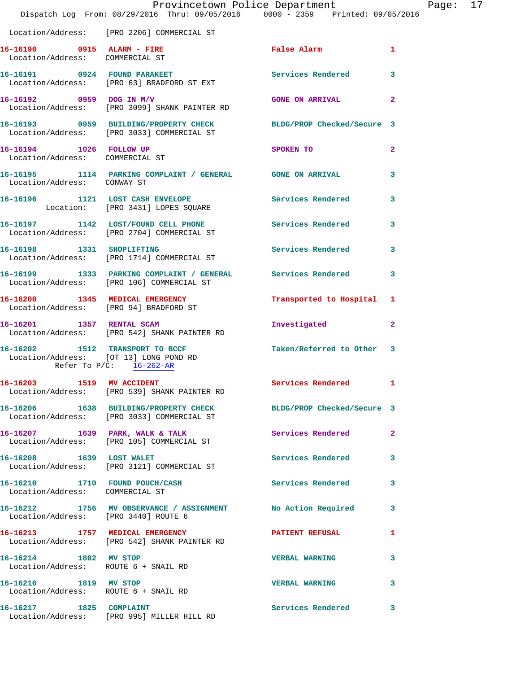|                                                                                                         | Provincetown Police Department<br>Dispatch Log From: 08/29/2016 Thru: 09/05/2016 0000 - 2359 Printed: 09/05/2016 |                            |                |
|---------------------------------------------------------------------------------------------------------|------------------------------------------------------------------------------------------------------------------|----------------------------|----------------|
|                                                                                                         | Location/Address: [PRO 2206] COMMERCIAL ST                                                                       |                            |                |
| 16-16190 0915 ALARM - FIRE<br>Location/Address: COMMERCIAL ST                                           |                                                                                                                  | False Alarm                | 1              |
|                                                                                                         | 16-16191 0924 FOUND PARAKEET<br>Location/Address: [PRO 63] BRADFORD ST EXT                                       | Services Rendered          | 3              |
|                                                                                                         |                                                                                                                  | <b>GONE ON ARRIVAL</b>     | $\overline{2}$ |
|                                                                                                         | 16-16193 0959 BUILDING/PROPERTY CHECK BLDG/PROP Checked/Secure 3<br>Location/Address: [PRO 3033] COMMERCIAL ST   |                            |                |
| 16-16194 1026 FOLLOW UP<br>Location/Address: COMMERCIAL ST                                              |                                                                                                                  | SPOKEN TO                  | $\mathbf{2}$   |
| Location/Address: CONWAY ST                                                                             | 16-16195 1114 PARKING COMPLAINT / GENERAL GONE ON ARRIVAL                                                        |                            | 3              |
|                                                                                                         | 16-16196 1121 LOST CASH ENVELOPE<br>Location: [PRO 3431] LOPES SQUARE                                            | Services Rendered          | 3              |
|                                                                                                         | 16-16197 1142 LOST/FOUND CELL PHONE Services Rendered<br>Location/Address: [PRO 2704] COMMERCIAL ST              |                            | 3              |
|                                                                                                         | 16-16198 1331 SHOPLIFTING<br>Location/Address: [PRO 1714] COMMERCIAL ST                                          | Services Rendered          | 3              |
|                                                                                                         | 16-16199 1333 PARKING COMPLAINT / GENERAL Services Rendered<br>Location/Address: [PRO 106] COMMERCIAL ST         |                            | 3              |
|                                                                                                         | 16-16200 1345 MEDICAL EMERGENCY<br>Location/Address: [PRO 94] BRADFORD ST                                        | Transported to Hospital    | 1              |
|                                                                                                         | 16-16201 1357 RENTAL SCAM<br>Location/Address: [PRO 542] SHANK PAINTER RD                                        | Investigated               | $\mathbf{2}$   |
| 16-16202 1512 TRANSPORT TO BCCF<br>Location/Address: [OT 13] LONG POND RD<br>Refer To $P/C$ : 16-262-AR |                                                                                                                  | Taken/Referred to Other 3  |                |
| 16-16203 1519 MV ACCIDENT                                                                               | Location/Address: [PRO 539] SHANK PAINTER RD                                                                     | Services Rendered          | $\mathbf{1}$   |
|                                                                                                         | 16-16206 1638 BUILDING/PROPERTY CHECK<br>Location/Address: [PRO 3033] COMMERCIAL ST                              | BLDG/PROP Checked/Secure 3 |                |
|                                                                                                         | 16-16207 1639 PARK, WALK & TALK<br>Location/Address: [PRO 105] COMMERCIAL ST                                     | Services Rendered          | $\mathbf{2}$   |
| 16-16208 1639 LOST WALET                                                                                | Location/Address: [PRO 3121] COMMERCIAL ST                                                                       | <b>Services Rendered</b>   | 3              |
| Location/Address: COMMERCIAL ST                                                                         | 16-16210 1710 FOUND POUCH/CASH                                                                                   | <b>Services Rendered</b>   | 3              |
| Location/Address: [PRO 3440] ROUTE 6                                                                    | 16-16212 1756 MV OBSERVANCE / ASSIGNMENT No Action Required                                                      |                            | 3              |
|                                                                                                         | 16-16213 1757 MEDICAL EMERGENCY<br>Location/Address: [PRO 542] SHANK PAINTER RD                                  | <b>PATIENT REFUSAL</b>     | 1              |
| 16-16214 1802 MV STOP<br>Location/Address: ROUTE 6 + SNAIL RD                                           |                                                                                                                  | <b>VERBAL WARNING</b>      | 3              |
| 16-16216 1819 MV STOP<br>Location/Address: ROUTE 6 + SNAIL RD                                           |                                                                                                                  | <b>VERBAL WARNING</b>      | 3              |
| 16-16217 1825 COMPLAINT                                                                                 | Location/Address: [PRO 995] MILLER HILL RD                                                                       | <b>Services Rendered</b>   | 3              |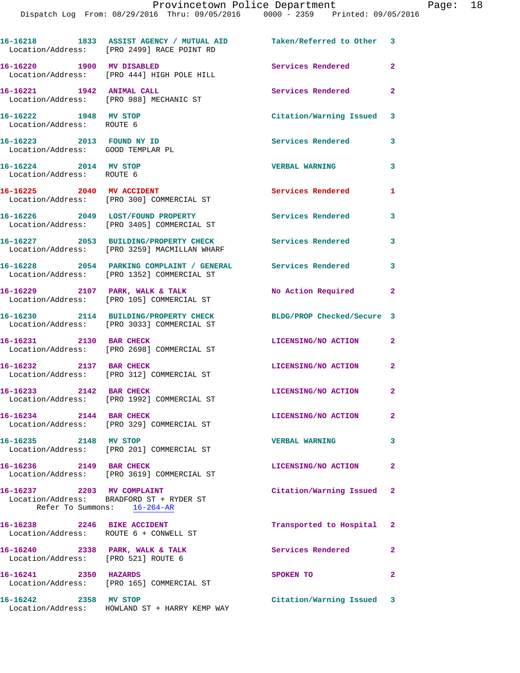|                                                                        | Provincetown Police Department                                                                                 |                            |                |
|------------------------------------------------------------------------|----------------------------------------------------------------------------------------------------------------|----------------------------|----------------|
|                                                                        | Dispatch Log From: 08/29/2016 Thru: 09/05/2016 0000 - 2359 Printed: 09/05/2016                                 |                            |                |
|                                                                        | 16-16218 1833 ASSIST AGENCY / MUTUAL AID Taken/Referred to Other<br>Location/Address: [PRO 2499] RACE POINT RD |                            | 3              |
| 16-16220 1900 MV DISABLED                                              | Location/Address: [PRO 444] HIGH POLE HILL                                                                     | <b>Services Rendered</b>   | $\overline{a}$ |
| 16-16221 1942 ANIMAL CALL                                              | Location/Address: [PRO 988] MECHANIC ST                                                                        | Services Rendered          | $\overline{a}$ |
| 16-16222 1948 MV STOP<br>Location/Address: ROUTE 6                     |                                                                                                                | Citation/Warning Issued    | 3              |
| 16-16223 2013 FOUND NY ID<br>Location/Address: GOOD TEMPLAR PL         |                                                                                                                | Services Rendered          | 3              |
| 16-16224 2014 MV STOP<br>Location/Address: ROUTE 6                     |                                                                                                                | <b>VERBAL WARNING</b>      | 3              |
| 16-16225 2040 MV ACCIDENT                                              | Location/Address: [PRO 300] COMMERCIAL ST                                                                      | <b>Services Rendered</b>   | 1              |
|                                                                        | 16-16226 2049 LOST/FOUND PROPERTY<br>Location/Address: [PRO 3405] COMMERCIAL ST                                | <b>Services Rendered</b>   | 3              |
|                                                                        | 16-16227 2053 BUILDING/PROPERTY CHECK<br>Location/Address: [PRO 3259] MACMILLAN WHARF                          | <b>Services Rendered</b>   | 3              |
|                                                                        | 16-16228 2054 PARKING COMPLAINT / GENERAL Services Rendered<br>Location/Address: [PRO 1352] COMMERCIAL ST      |                            | 3              |
|                                                                        | 16-16229 2107 PARK, WALK & TALK<br>Location/Address: [PRO 105] COMMERCIAL ST                                   | No Action Required         | $\overline{a}$ |
|                                                                        | 16-16230 2114 BUILDING/PROPERTY CHECK<br>Location/Address: [PRO 3033] COMMERCIAL ST                            | BLDG/PROP Checked/Secure 3 |                |
| 16-16231 2130 BAR CHECK                                                | Location/Address: [PRO 2698] COMMERCIAL ST                                                                     | LICENSING/NO ACTION        | $\mathbf{2}$   |
| 16-16232 2137 BAR CHECK                                                | Location/Address: [PRO 312] COMMERCIAL ST                                                                      | LICENSING/NO ACTION        | $\overline{a}$ |
| 16-16233 2142 BAR CHECK                                                | Location/Address: [PRO 1992] COMMERCIAL ST                                                                     | LICENSING/NO ACTION        | $\mathbf{2}$   |
| 16-16234 2144 BAR CHECK                                                | Location/Address: [PRO 329] COMMERCIAL ST                                                                      | LICENSING/NO ACTION        | $\overline{a}$ |
| 16-16235 2148 MV STOP                                                  | Location/Address: [PRO 201] COMMERCIAL ST                                                                      | <b>VERBAL WARNING</b>      | 3              |
| 16-16236 2149 BAR CHECK                                                | Location/Address: [PRO 3619] COMMERCIAL ST                                                                     | LICENSING/NO ACTION        | 2              |
| 16-16237 2203 MV COMPLAINT                                             | Location/Address: BRADFORD ST + RYDER ST<br>Refer To Summons: 16-264-AR                                        | Citation/Warning Issued    | $\mathbf{2}$   |
| 16-16238 2246 BIKE ACCIDENT                                            | Location/Address: ROUTE 6 + CONWELL ST                                                                         | Transported to Hospital    | 2              |
| 16-16240 2338 PARK, WALK & TALK<br>Location/Address: [PRO 521] ROUTE 6 |                                                                                                                | Services Rendered          | $\mathbf{2}$   |
| 16-16241 2350 HAZARDS                                                  | Location/Address: [PRO 165] COMMERCIAL ST                                                                      | SPOKEN TO                  | $\overline{2}$ |
| 16-16242 2358 MV STOP                                                  |                                                                                                                | Citation/Warning Issued    | 3              |

Location/Address: HOWLAND ST + HARRY KEMP WAY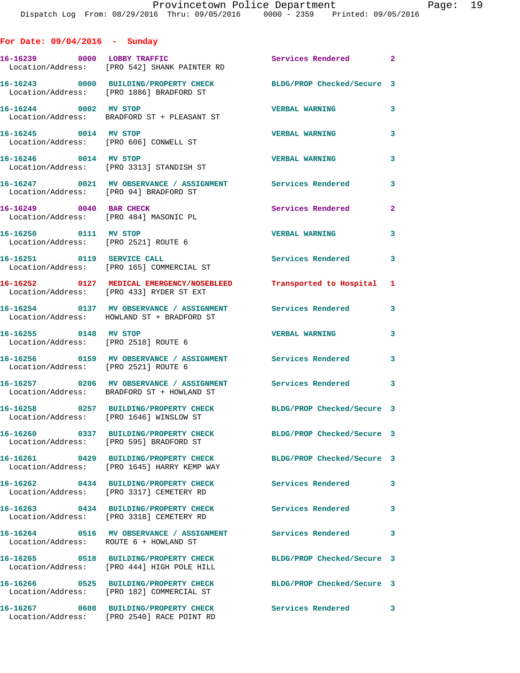| For Date: $09/04/2016$ - Sunday                                   |                                                                                                                 |                            |              |
|-------------------------------------------------------------------|-----------------------------------------------------------------------------------------------------------------|----------------------------|--------------|
| 16-16239 0000 LOBBY TRAFFIC                                       | Location/Address: [PRO 542] SHANK PAINTER RD                                                                    | Services Rendered 2        |              |
|                                                                   | 16-16243 0000 BUILDING/PROPERTY CHECK<br>Location/Address: [PRO 1886] BRADFORD ST                               | BLDG/PROP Checked/Secure 3 |              |
| 16-16244 0002 MV STOP                                             | Location/Address: BRADFORD ST + PLEASANT ST                                                                     | <b>VERBAL WARNING</b>      | 3            |
| 16-16245 0014 MV STOP                                             | Location/Address: [PRO 606] CONWELL ST                                                                          | <b>VERBAL WARNING</b>      | 3            |
| 16-16246 0014 MV STOP                                             | Location/Address: [PRO 3313] STANDISH ST                                                                        | <b>VERBAL WARNING</b>      | 3            |
| Location/Address: [PRO 94] BRADFORD ST                            | 16-16247 0021 MV OBSERVANCE / ASSIGNMENT                                                                        | Services Rendered          | 3            |
| 16-16249 0040 BAR CHECK<br>Location/Address: [PRO 484] MASONIC PL |                                                                                                                 | Services Rendered          | $\mathbf{2}$ |
| 16-16250 0111 MV STOP<br>Location/Address: [PRO 2521] ROUTE 6     |                                                                                                                 | <b>VERBAL WARNING</b>      | 3            |
| 16-16251 0119 SERVICE CALL                                        | Location/Address: [PRO 165] COMMERCIAL ST                                                                       | <b>Services Rendered</b>   | 3            |
|                                                                   | 16-16252 0127 MEDICAL EMERGENCY/NOSEBLEED Transported to Hospital 1<br>Location/Address: [PRO 433] RYDER ST EXT |                            |              |
|                                                                   | 16-16254 0137 MV OBSERVANCE / ASSIGNMENT Services Rendered<br>Location/Address: HOWLAND ST + BRADFORD ST        |                            | 3            |
| 16-16255 0148 MV STOP<br>Location/Address: [PRO 2518] ROUTE 6     |                                                                                                                 | <b>VERBAL WARNING</b>      | 3            |
| Location/Address: [PRO 2521] ROUTE 6                              | 16-16256  0159 MV OBSERVANCE / ASSIGNMENT  Services Rendered                                                    |                            | 3            |
|                                                                   | 16-16257 0206 MV OBSERVANCE / ASSIGNMENT Services Rendered<br>Location/Address: BRADFORD ST + HOWLAND ST        |                            | 3            |
| Location/Address: [PRO 1646] WINSLOW ST                           | 16-16258 0257 BUILDING/PROPERTY CHECK BLDG/PROP Checked/Secure 3                                                |                            |              |
|                                                                   | 16-16260 0337 BUILDING/PROPERTY CHECK BLDG/PROP Checked/Secure 3<br>Location/Address: [PRO 595] BRADFORD ST     |                            |              |
|                                                                   | 16-16261 0429 BUILDING/PROPERTY CHECK<br>Location/Address: [PRO 1645] HARRY KEMP WAY                            | BLDG/PROP Checked/Secure 3 |              |
|                                                                   | 16-16262 0434 BUILDING/PROPERTY CHECK<br>Location/Address: [PRO 3317] CEMETERY RD                               | <b>Services Rendered</b>   | 3            |
|                                                                   | 16-16263 0434 BUILDING/PROPERTY CHECK<br>Location/Address: [PRO 3318] CEMETERY RD                               | <b>Services Rendered</b>   | 3            |
| Location/Address: ROUTE 6 + HOWLAND ST                            | 16-16264 0516 MV OBSERVANCE / ASSIGNMENT                                                                        | <b>Services Rendered</b>   | 3            |
|                                                                   | 16-16265 0518 BUILDING/PROPERTY CHECK<br>Location/Address: [PRO 444] HIGH POLE HILL                             | BLDG/PROP Checked/Secure 3 |              |
|                                                                   | 16-16266 0525 BUILDING/PROPERTY CHECK<br>Location/Address: [PRO 182] COMMERCIAL ST                              | BLDG/PROP Checked/Secure 3 |              |
|                                                                   | 16-16267 0608 BUILDING/PROPERTY CHECK<br>Location/Address: [PRO 2540] RACE POINT RD                             | Services Rendered 3        |              |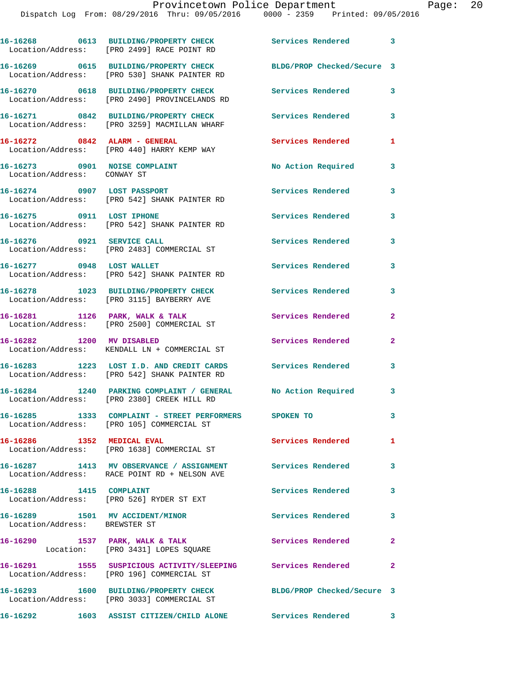|                                                                  | 16-16268 0613 BUILDING/PROPERTY CHECK<br>Location/Address: [PRO 2499] RACE POINT RD                            | <b>Services Rendered</b>   | $\overline{\phantom{a}}$ 3 |
|------------------------------------------------------------------|----------------------------------------------------------------------------------------------------------------|----------------------------|----------------------------|
|                                                                  | 16-16269 0615 BUILDING/PROPERTY CHECK<br>Location/Address: [PRO 530] SHANK PAINTER RD                          | BLDG/PROP Checked/Secure 3 |                            |
|                                                                  | 16-16270 0618 BUILDING/PROPERTY CHECK<br>Location/Address: [PRO 2490] PROVINCELANDS RD                         | <b>Services Rendered</b>   | 3                          |
|                                                                  | 16-16271 0842 BUILDING/PROPERTY CHECK<br>Location/Address: [PRO 3259] MACMILLAN WHARF                          | <b>Services Rendered</b>   | 3                          |
|                                                                  | 16-16272 0842 ALARM - GENERAL<br>Location/Address: [PRO 440] HARRY KEMP WAY                                    | Services Rendered          | 1                          |
| 16-16273 0901 NOISE COMPLAINT<br>Location/Address: CONWAY ST     |                                                                                                                | No Action Required         | 3                          |
|                                                                  | 16-16274 0907 LOST PASSPORT<br>Location/Address: [PRO 542] SHANK PAINTER RD                                    | Services Rendered          | 3                          |
| 16-16275 0911 LOST IPHONE                                        | Location/Address: [PRO 542] SHANK PAINTER RD                                                                   | Services Rendered          | 3                          |
| 16-16276 0921 SERVICE CALL                                       | Location/Address: [PRO 2483] COMMERCIAL ST                                                                     | Services Rendered          | 3                          |
| 16-16277 0948 LOST WALLET                                        | Location/Address: [PRO 542] SHANK PAINTER RD                                                                   | Services Rendered          | 3                          |
|                                                                  | 16-16278 1023 BUILDING/PROPERTY CHECK<br>Location/Address: [PRO 3115] BAYBERRY AVE                             | <b>Services Rendered</b>   | 3                          |
|                                                                  | 16-16281 1126 PARK, WALK & TALK<br>Location/Address: [PRO 2500] COMMERCIAL ST                                  | Services Rendered          | 2                          |
| 16-16282 1200 MV DISABLED                                        | Location/Address: KENDALL LN + COMMERCIAL ST                                                                   | Services Rendered          | $\overline{a}$             |
|                                                                  | 16-16283 1223 LOST I.D. AND CREDIT CARDS<br>Location/Address: [PRO 542] SHANK PAINTER RD                       | <b>Services Rendered</b>   | 3                          |
|                                                                  | 16-16284 1240 PARKING COMPLAINT / GENERAL<br>Location/Address: [PRO 2380] CREEK HILL RD                        | No Action Required 3       |                            |
|                                                                  | 16-16285 1333 COMPLAINT - STREET PERFORMERS SPOKEN TO<br>Location/Address: [PRO 105] COMMERCIAL ST             |                            | 3                          |
| 16-16286 1352 MEDICAL EVAL                                       | Location/Address: [PRO 1638] COMMERCIAL ST                                                                     | Services Rendered          | $\mathbf{1}$               |
|                                                                  | 16-16287 1413 MV OBSERVANCE / ASSIGNMENT Services Rendered<br>Location/Address: RACE POINT RD + NELSON AVE     |                            | $\overline{\mathbf{3}}$    |
| 16-16288 1415 COMPLAINT                                          | Location/Address: [PRO 526] RYDER ST EXT                                                                       | Services Rendered          | $\mathbf{3}$               |
| 16-16289 1501 MV ACCIDENT/MINOR<br>Location/Address: BREWSTER ST |                                                                                                                | Services Rendered          | $\overline{\phantom{a}}$ 3 |
|                                                                  | 16-16290 1537 PARK, WALK & TALK<br>Location: [PRO 3431] LOPES SQUARE                                           | <b>Services Rendered</b>   | $\overline{\mathbf{2}}$    |
|                                                                  | 16-16291 1555 SUSPICIOUS ACTIVITY/SLEEPING Services Rendered<br>Location/Address: [PRO 196] COMMERCIAL ST      |                            | $\overline{\mathbf{2}}$    |
|                                                                  | 16-16293 1600 BUILDING/PROPERTY CHECK BLDG/PROP Checked/Secure 3<br>Location/Address: [PRO 3033] COMMERCIAL ST |                            |                            |
|                                                                  | 16-16292 1603 ASSIST CITIZEN/CHILD ALONE Services Rendered 3                                                   |                            |                            |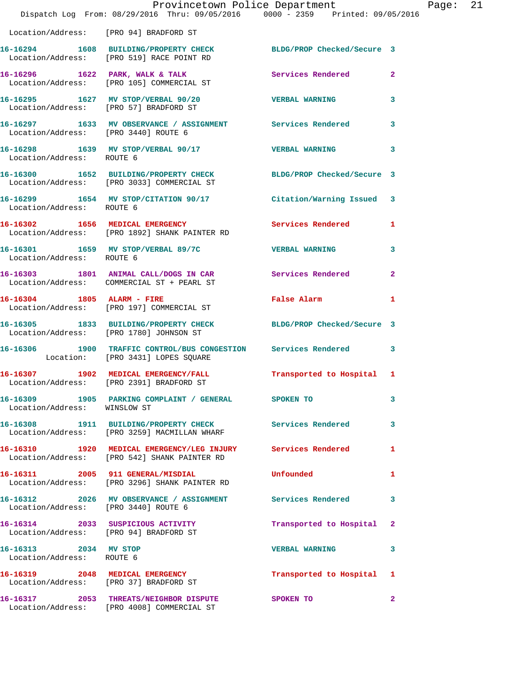|                                                    | Provincetown Police Department<br>Dispatch Log From: 08/29/2016 Thru: 09/05/2016 0000 - 2359 Printed: 09/05/2016 |                               |              |
|----------------------------------------------------|------------------------------------------------------------------------------------------------------------------|-------------------------------|--------------|
|                                                    | Location/Address: [PRO 94] BRADFORD ST                                                                           |                               |              |
|                                                    | 16-16294 1608 BUILDING/PROPERTY CHECK<br>Location/Address: [PRO 519] RACE POINT RD                               | BLDG/PROP Checked/Secure 3    |              |
|                                                    | 16-16296 1622 PARK, WALK & TALK<br>Location/Address: [PRO 105] COMMERCIAL ST                                     | Services Rendered             | 2            |
|                                                    | 16-16295 1627 MV STOP/VERBAL 90/20<br>Location/Address: [PRO 57] BRADFORD ST                                     | <b>VERBAL WARNING</b>         | 3            |
| Location/Address: [PRO 3440] ROUTE 6               | 16-16297 1633 MV OBSERVANCE / ASSIGNMENT Services Rendered                                                       |                               | 3            |
| Location/Address: ROUTE 6                          | 16-16298 1639 MV STOP/VERBAL 90/17                                                                               | <b>VERBAL WARNING</b>         | 3            |
|                                                    | 16-16300 1652 BUILDING/PROPERTY CHECK BLDG/PROP Checked/Secure 3<br>Location/Address: [PRO 3033] COMMERCIAL ST   |                               |              |
| Location/Address: ROUTE 6                          | 16-16299 1654 MV STOP/CITATION 90/17 Citation/Warning Issued                                                     |                               | 3            |
|                                                    | 16-16302 1656 MEDICAL EMERGENCY<br>Location/Address: [PRO 1892] SHANK PAINTER RD                                 | <b>Services Rendered</b>      | 1            |
| Location/Address: ROUTE 6                          | 16-16301 1659 MV STOP/VERBAL 89/7C VERBAL WARNING                                                                |                               | 3            |
|                                                    | 16-16303 1801 ANIMAL CALL/DOGS IN CAR Services Rendered<br>Location/Address: COMMERCIAL ST + PEARL ST            |                               | $\mathbf{2}$ |
| 16-16304 1805 ALARM - FIRE                         | Location/Address: [PRO 197] COMMERCIAL ST                                                                        | False Alarm <b>Execute 19</b> | 1            |
|                                                    | 16-16305 1833 BUILDING/PROPERTY CHECK BLDG/PROP Checked/Secure 3<br>Location/Address: [PRO 1780] JOHNSON ST      |                               |              |
|                                                    | 16-16306 1900 TRAFFIC CONTROL/BUS CONGESTION Services Rendered<br>Location: [PRO 3431] LOPES SQUARE              |                               | 3            |
|                                                    | 16-16307 1902 MEDICAL EMERGENCY/FALL<br>Location/Address: [PRO 2391] BRADFORD ST                                 | Transported to Hospital       | 1            |
| Location/Address: WINSLOW ST                       | 16-16309 1905 PARKING COMPLAINT / GENERAL SPOKEN TO                                                              |                               | 3            |
|                                                    | 16-16308 1911 BUILDING/PROPERTY CHECK Services Rendered<br>Location/Address: [PRO 3259] MACMILLAN WHARF          |                               | 3            |
|                                                    | 16-16310 1920 MEDICAL EMERGENCY/LEG INJURY Services Rendered<br>Location/Address: [PRO 542] SHANK PAINTER RD     |                               | 1            |
|                                                    | 16-16311 2005 911 GENERAL/MISDIAL<br>Location/Address: [PRO 3296] SHANK PAINTER RD                               | Unfounded                     | 1            |
| Location/Address: [PRO 3440] ROUTE 6               | 16-16312 2026 MV OBSERVANCE / ASSIGNMENT Services Rendered                                                       |                               | 3            |
|                                                    | 16-16314 2033 SUSPICIOUS ACTIVITY<br>Location/Address: [PRO 94] BRADFORD ST                                      | Transported to Hospital       | 2            |
| 16-16313 2034 MV STOP<br>Location/Address: ROUTE 6 |                                                                                                                  | <b>VERBAL WARNING</b>         | 3            |
|                                                    | 16-16319 2048 MEDICAL EMERGENCY<br>Location/Address: [PRO 37] BRADFORD ST                                        | Transported to Hospital       | 1            |
|                                                    | 16-16317 2053 THREATS/NEIGHBOR DISPUTE SPOKEN TO<br>Location/Address: [PRO 4008] COMMERCIAL ST                   |                               | $\mathbf{2}$ |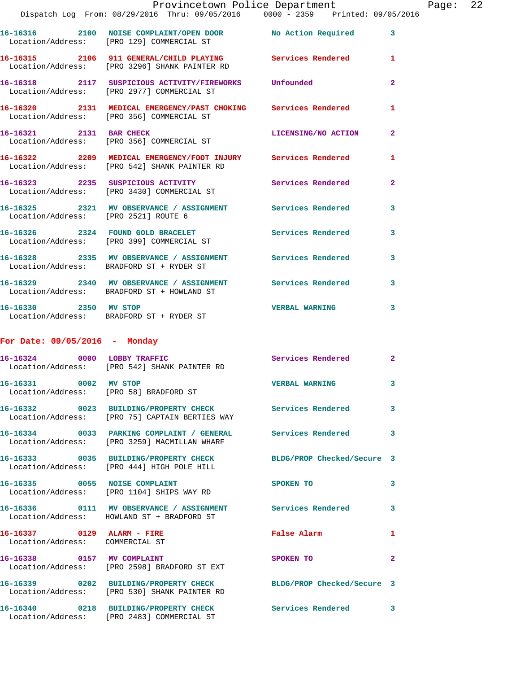|                                      |                                                                                                                  | Provincetown Police Department |                | Page: 22 |  |
|--------------------------------------|------------------------------------------------------------------------------------------------------------------|--------------------------------|----------------|----------|--|
|                                      | Dispatch Log From: 08/29/2016 Thru: 09/05/2016 0000 - 2359 Printed: 09/05/2016                                   |                                |                |          |  |
|                                      | 16-16316 2100 NOISE COMPLAINT/OPEN DOOR No Action Required 3<br>Location/Address: [PRO 129] COMMERCIAL ST        |                                |                |          |  |
|                                      | 16-16315  2106  911 GENERAL/CHILD PLAYING  Services Rendered  1<br>Location/Address: [PRO 3296] SHANK PAINTER RD |                                |                |          |  |
|                                      | 16-16318 2117 SUSPICIOUS ACTIVITY/FIREWORKS Unfounded<br>Location/Address: [PRO 2977] COMMERCIAL ST              |                                | $\overline{2}$ |          |  |
|                                      | 16-16320 2131 MEDICAL EMERGENCY/PAST CHOKING Services Rendered<br>Location/Address: [PRO 356] COMMERCIAL ST      |                                | 1              |          |  |
|                                      | 16-16321 2131 BAR CHECK<br>Location/Address: [PRO 356] COMMERCIAL ST                                             | LICENSING/NO ACTION 2          |                |          |  |
|                                      | 16-16322 2209 MEDICAL EMERGENCY/FOOT INJURY Services Rendered<br>Location/Address: [PRO 542] SHANK PAINTER RD    |                                | 1              |          |  |
|                                      | 16-16323 2235 SUSPICIOUS ACTIVITY Services Rendered<br>Location/Address: [PRO 3430] COMMERCIAL ST                |                                | $\mathbf{2}$   |          |  |
| Location/Address: [PRO 2521] ROUTE 6 | 16-16325 2321 MV OBSERVANCE / ASSIGNMENT Services Rendered                                                       |                                | $\mathbf{3}$   |          |  |
|                                      | 16-16326  2324  FOUND GOLD BRACELET  Services Rendered  3<br>Location/Address: [PRO 399] COMMERCIAL ST           |                                |                |          |  |
|                                      | 16-16328 2335 MV OBSERVANCE / ASSIGNMENT Services Rendered 3<br>Location/Address: BRADFORD ST + RYDER ST         |                                |                |          |  |
|                                      | 16-16329 2340 MV OBSERVANCE / ASSIGNMENT Services Rendered<br>Location/Address: BRADFORD ST + HOWLAND ST         |                                | 3              |          |  |
|                                      | 16-16330 2350 MV STOP<br>Location/Address: BRADFORD ST + RYDER ST                                                | <b>VERBAL WARNING</b> 3        |                |          |  |
| For Date: $09/05/2016$ - Monday      |                                                                                                                  |                                |                |          |  |
| 16-16324 0000 LOBBY TRAFFIC          |                                                                                                                  | Services Rendered 2            |                |          |  |

|                                                                 | Location/Address: [PRO 542] SHANK PAINTER RD                                                                         | Per Arces Vendered         |                         |
|-----------------------------------------------------------------|----------------------------------------------------------------------------------------------------------------------|----------------------------|-------------------------|
| 16-16331 0002 MV STOP<br>Location/Address: [PRO 58] BRADFORD ST |                                                                                                                      | <b>VERBAL WARNING</b>      | $\overline{3}$          |
|                                                                 | 16-16332 0023 BUILDING/PROPERTY CHECK<br>Location/Address: [PRO 75] CAPTAIN BERTIES WAY                              | <b>Services Rendered</b>   | $\overline{\mathbf{3}}$ |
|                                                                 | 16-16334 0033 PARKING COMPLAINT / GENERAL Services Rendered<br>Location/Address: [PRO 3259] MACMILLAN WHARF          |                            | $\overline{\mathbf{3}}$ |
|                                                                 | 16-16333 0035 BUILDING/PROPERTY CHECK BLDG/PROP Checked/Secure 3<br>Location/Address: [PRO 444] HIGH POLE HILL       |                            |                         |
|                                                                 | 16-16335 0055 NOISE COMPLAINT<br>Location/Address: [PRO 1104] SHIPS WAY RD                                           | SPOKEN TO                  | $\mathbf{3}$            |
|                                                                 | 16-16336      0111   MV OBSERVANCE / ASSIGNMENT      Services Rendered<br>Location/Address: HOWLAND ST + BRADFORD ST |                            | $\mathbf{3}$            |
| 16-16337 0129 ALARM - FIRE<br>Location/Address: COMMERCIAL ST   |                                                                                                                      | <b>False Alarm</b>         | $\mathbf{1}$            |
| 16-16338 0157 MV COMPLAINT                                      | Location/Address: [PRO 2598] BRADFORD ST EXT                                                                         | SPOKEN TO                  | $\overline{2}$          |
|                                                                 | Location/Address: [PRO 530] SHANK PAINTER RD                                                                         | BLDG/PROP Checked/Secure 3 |                         |
|                                                                 | 16-16340 0218 BUILDING/PROPERTY CHECK<br>Location/Address: [PRO 2483] COMMERCIAL ST                                  | <b>Services Rendered</b>   | $\overline{\mathbf{3}}$ |